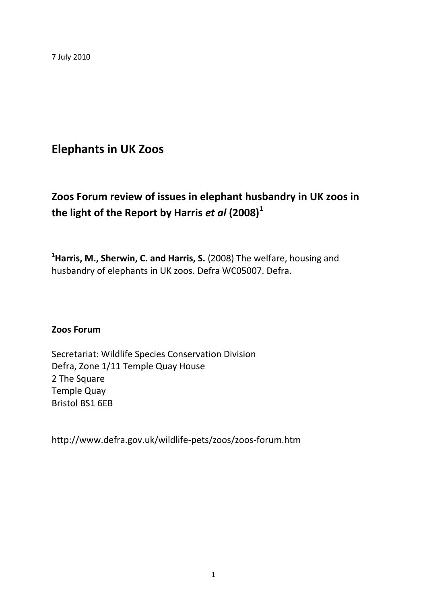7 July 2010

# **Elephants in UK Zoos**

# **Zoos Forum review of issues in elephant husbandry in UK zoos in the light of the Report by Harris** *et al* **(2008)<sup>1</sup>**

**<sup>1</sup>Harris, M., Sherwin, C. and Harris, S.** (2008) The welfare, housing and husbandry of elephants in UK zoos. Defra WC05007. Defra.

### **Zoos Forum**

Secretariat: Wildlife Species Conservation Division Defra, Zone 1/11 Temple Quay House 2 The Square Temple Quay Bristol BS1 6EB

http://www.defra.gov.uk/wildlife-pets/zoos/zoos-forum.htm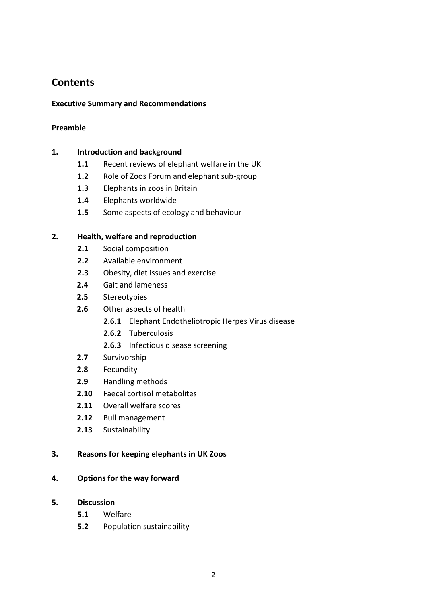## **Contents**

#### **Executive Summary and Recommendations**

#### **Preamble**

#### **1. Introduction and background**

- **1.1** Recent reviews of elephant welfare in the UK
- **1.2** Role of Zoos Forum and elephant sub-group
- **1.3** Elephants in zoos in Britain
- **1.4** Elephants worldwide
- **1.5** Some aspects of ecology and behaviour

#### **2. Health, welfare and reproduction**

- **2.1** Social composition
- **2.2** Available environment
- **2.3** Obesity, diet issues and exercise
- **2.4** Gait and lameness
- **2.5** Stereotypies
- **2.6** Other aspects of health
	- **2.6.1** Elephant Endotheliotropic Herpes Virus disease
	- **2.6.2** Tuberculosis
	- **2.6.3** Infectious disease screening
- **2.7** Survivorship
- **2.8** Fecundity
- **2.9** Handling methods
- **2.10** Faecal cortisol metabolites
- **2.11** Overall welfare scores
- **2.12** Bull management
- **2.13** Sustainability

#### **3. Reasons for keeping elephants in UK Zoos**

#### **4. Options for the way forward**

- **5. Discussion**
	- **5.1** Welfare
	- **5.2** Population sustainability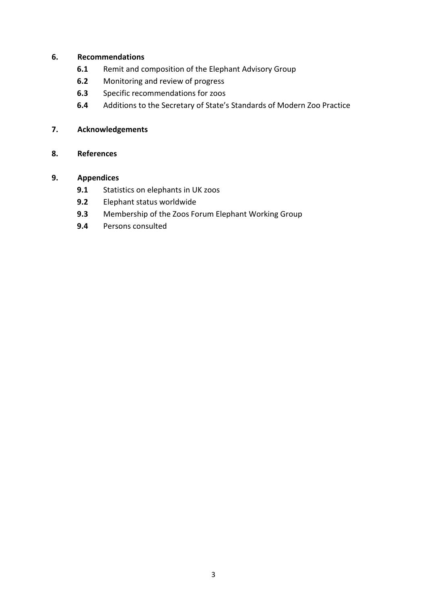#### **6. Recommendations**

- **6.1** Remit and composition of the Elephant Advisory Group
- **6.2** Monitoring and review of progress
- **6.3** Specific recommendations for zoos
- **6.4** Additions to the Secretary of State's Standards of Modern Zoo Practice

### **7. Acknowledgements**

### **8. References**

### **9. Appendices**

- **9.1** Statistics on elephants in UK zoos
- **9.2** Elephant status worldwide
- **9.3** Membership of the Zoos Forum Elephant Working Group
- **9.4** Persons consulted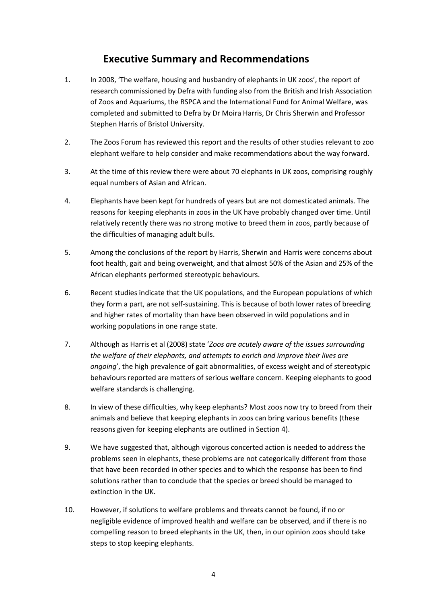## **Executive Summary and Recommendations**

- 1. In 2008, 'The welfare, housing and husbandry of elephants in UK zoos', the report of research commissioned by Defra with funding also from the British and Irish Association of Zoos and Aquariums, the RSPCA and the International Fund for Animal Welfare, was completed and submitted to Defra by Dr Moira Harris, Dr Chris Sherwin and Professor Stephen Harris of Bristol University.
- 2. The Zoos Forum has reviewed this report and the results of other studies relevant to zoo elephant welfare to help consider and make recommendations about the way forward.
- 3. At the time of this review there were about 70 elephants in UK zoos, comprising roughly equal numbers of Asian and African.
- 4. Elephants have been kept for hundreds of years but are not domesticated animals. The reasons for keeping elephants in zoos in the UK have probably changed over time. Until relatively recently there was no strong motive to breed them in zoos, partly because of the difficulties of managing adult bulls.
- 5. Among the conclusions of the report by Harris, Sherwin and Harris were concerns about foot health, gait and being overweight, and that almost 50% of the Asian and 25% of the African elephants performed stereotypic behaviours.
- 6. Recent studies indicate that the UK populations, and the European populations of which they form a part, are not self-sustaining. This is because of both lower rates of breeding and higher rates of mortality than have been observed in wild populations and in working populations in one range state.
- 7. Although as Harris et al (2008) state '*Zoos are acutely aware of the issues surrounding the welfare of their elephants, and attempts to enrich and improve their lives are ongoing*', the high prevalence of gait abnormalities, of excess weight and of stereotypic behaviours reported are matters of serious welfare concern. Keeping elephants to good welfare standards is challenging.
- 8. In view of these difficulties, why keep elephants? Most zoos now try to breed from their animals and believe that keeping elephants in zoos can bring various benefits (these reasons given for keeping elephants are outlined in Section 4).
- 9. We have suggested that, although vigorous concerted action is needed to address the problems seen in elephants, these problems are not categorically different from those that have been recorded in other species and to which the response has been to find solutions rather than to conclude that the species or breed should be managed to extinction in the UK.
- 10. However, if solutions to welfare problems and threats cannot be found, if no or negligible evidence of improved health and welfare can be observed, and if there is no compelling reason to breed elephants in the UK, then, in our opinion zoos should take steps to stop keeping elephants.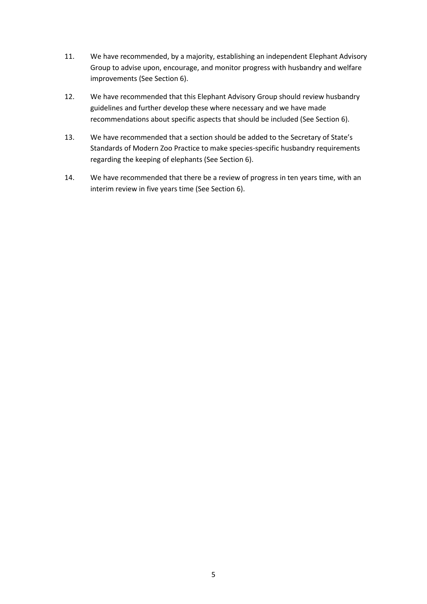- 11. We have recommended, by a majority, establishing an independent Elephant Advisory Group to advise upon, encourage, and monitor progress with husbandry and welfare improvements (See Section 6).
- 12. We have recommended that this Elephant Advisory Group should review husbandry guidelines and further develop these where necessary and we have made recommendations about specific aspects that should be included (See Section 6).
- 13. We have recommended that a section should be added to the Secretary of State's Standards of Modern Zoo Practice to make species-specific husbandry requirements regarding the keeping of elephants (See Section 6).
- 14. We have recommended that there be a review of progress in ten years time, with an interim review in five years time (See Section 6).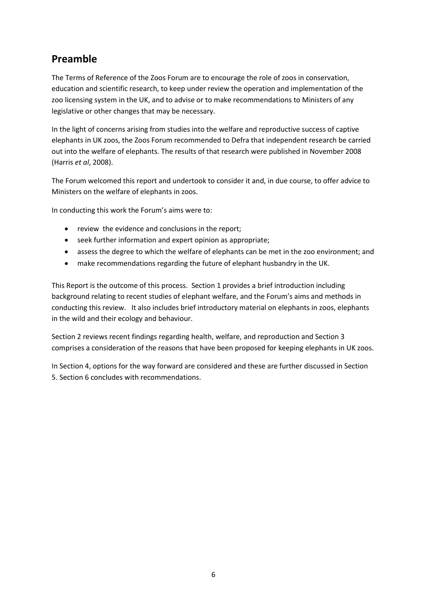## **Preamble**

The Terms of Reference of the Zoos Forum are to encourage the role of zoos in conservation, education and scientific research, to keep under review the operation and implementation of the zoo licensing system in the UK, and to advise or to make recommendations to Ministers of any legislative or other changes that may be necessary.

In the light of concerns arising from studies into the welfare and reproductive success of captive elephants in UK zoos, the Zoos Forum recommended to Defra that independent research be carried out into the welfare of elephants. The results of that research were published in November 2008 (Harris *et al*, 2008).

The Forum welcomed this report and undertook to consider it and, in due course, to offer advice to Ministers on the welfare of elephants in zoos.

In conducting this work the Forum's aims were to:

- review the evidence and conclusions in the report;
- seek further information and expert opinion as appropriate;
- assess the degree to which the welfare of elephants can be met in the zoo environment; and
- make recommendations regarding the future of elephant husbandry in the UK.

This Report is the outcome of this process. Section 1 provides a brief introduction including background relating to recent studies of elephant welfare, and the Forum's aims and methods in conducting this review. It also includes brief introductory material on elephants in zoos, elephants in the wild and their ecology and behaviour.

Section 2 reviews recent findings regarding health, welfare, and reproduction and Section 3 comprises a consideration of the reasons that have been proposed for keeping elephants in UK zoos.

In Section 4, options for the way forward are considered and these are further discussed in Section 5. Section 6 concludes with recommendations.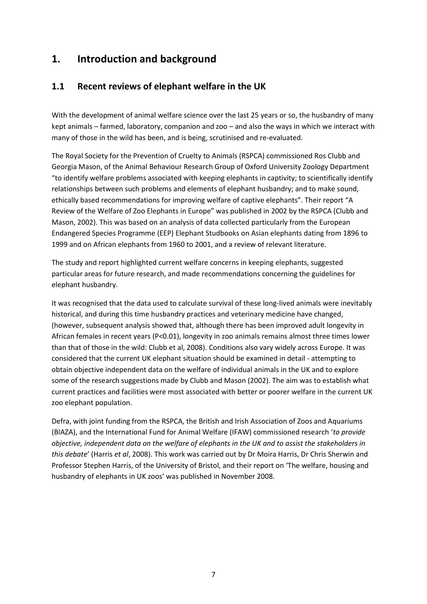## **1. Introduction and background**

### **1.1 Recent reviews of elephant welfare in the UK**

With the development of animal welfare science over the last 25 years or so, the husbandry of many kept animals – farmed, laboratory, companion and zoo – and also the ways in which we interact with many of those in the wild has been, and is being, scrutinised and re-evaluated.

The Royal Society for the Prevention of Cruelty to Animals (RSPCA) commissioned Ros Clubb and Georgia Mason, of the Animal Behaviour Research Group of Oxford University Zoology Department "to identify welfare problems associated with keeping elephants in captivity; to scientifically identify relationships between such problems and elements of elephant husbandry; and to make sound, ethically based recommendations for improving welfare of captive elephants". Their report "A Review of the Welfare of Zoo Elephants in Europe" was published in 2002 by the RSPCA (Clubb and Mason, 2002). This was based on an analysis of data collected particularly from the European Endangered Species Programme (EEP) Elephant Studbooks on Asian elephants dating from 1896 to 1999 and on African elephants from 1960 to 2001, and a review of relevant literature.

The study and report highlighted current welfare concerns in keeping elephants, suggested particular areas for future research, and made recommendations concerning the guidelines for elephant husbandry.

It was recognised that the data used to calculate survival of these long-lived animals were inevitably historical, and during this time husbandry practices and veterinary medicine have changed, (however, subsequent analysis showed that, although there has been improved adult longevity in African females in recent years (P<0.01), longevity in zoo animals remains almost three times lower than that of those in the wild: Clubb et al, 2008). Conditions also vary widely across Europe. It was considered that the current UK elephant situation should be examined in detail - attempting to obtain objective independent data on the welfare of individual animals in the UK and to explore some of the research suggestions made by Clubb and Mason (2002). The aim was to establish what current practices and facilities were most associated with better or poorer welfare in the current UK zoo elephant population.

Defra, with joint funding from the RSPCA, the British and Irish Association of Zoos and Aquariums (BIAZA), and the International Fund for Animal Welfare (IFAW) commissioned research '*to provide objective, independent data on the welfare of elephants in the UK and to assist the stakeholders in this debate*' (Harris *et al*, 2008). This work was carried out by Dr Moira Harris, Dr Chris Sherwin and Professor Stephen Harris, of the University of Bristol, and their report on 'The welfare, housing and husbandry of elephants in UK zoos' was published in November 2008.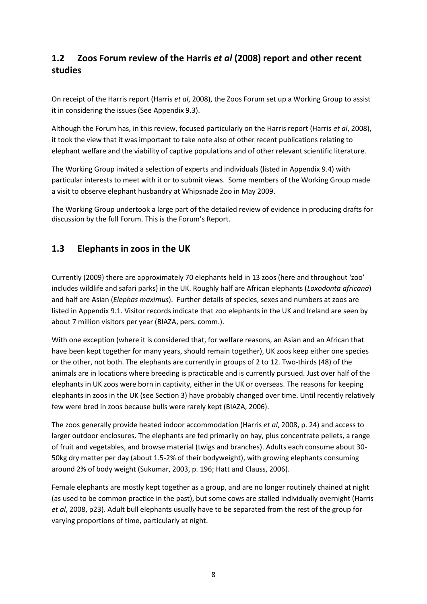## **1.2 Zoos Forum review of the Harris** *et al* **(2008) report and other recent studies**

On receipt of the Harris report (Harris *et al*, 2008), the Zoos Forum set up a Working Group to assist it in considering the issues (See Appendix 9.3).

Although the Forum has, in this review, focused particularly on the Harris report (Harris *et al*, 2008), it took the view that it was important to take note also of other recent publications relating to elephant welfare and the viability of captive populations and of other relevant scientific literature.

The Working Group invited a selection of experts and individuals (listed in Appendix 9.4) with particular interests to meet with it or to submit views. Some members of the Working Group made a visit to observe elephant husbandry at Whipsnade Zoo in May 2009.

The Working Group undertook a large part of the detailed review of evidence in producing drafts for discussion by the full Forum. This is the Forum's Report.

### **1.3 Elephants in zoos in the UK**

Currently (2009) there are approximately 70 elephants held in 13 zoos (here and throughout 'zoo' includes wildlife and safari parks) in the UK. Roughly half are African elephants (*Loxodonta africana*) and half are Asian (*Elephas maximus*). Further details of species, sexes and numbers at zoos are listed in Appendix 9.1. Visitor records indicate that zoo elephants in the UK and Ireland are seen by about 7 million visitors per year (BIAZA, pers. comm.).

With one exception (where it is considered that, for welfare reasons, an Asian and an African that have been kept together for many years, should remain together), UK zoos keep either one species or the other, not both. The elephants are currently in groups of 2 to 12. Two-thirds (48) of the animals are in locations where breeding is practicable and is currently pursued. Just over half of the elephants in UK zoos were born in captivity, either in the UK or overseas. The reasons for keeping elephants in zoos in the UK (see Section 3) have probably changed over time. Until recently relatively few were bred in zoos because bulls were rarely kept (BIAZA, 2006).

The zoos generally provide heated indoor accommodation (Harris *et al*, 2008, p. 24) and access to larger outdoor enclosures. The elephants are fed primarily on hay, plus concentrate pellets, a range of fruit and vegetables, and browse material (twigs and branches). Adults each consume about 30- 50kg dry matter per day (about 1.5-2% of their bodyweight), with growing elephants consuming around 2% of body weight (Sukumar, 2003, p. 196; Hatt and Clauss, 2006).

Female elephants are mostly kept together as a group, and are no longer routinely chained at night (as used to be common practice in the past), but some cows are stalled individually overnight (Harris *et al*, 2008, p23). Adult bull elephants usually have to be separated from the rest of the group for varying proportions of time, particularly at night.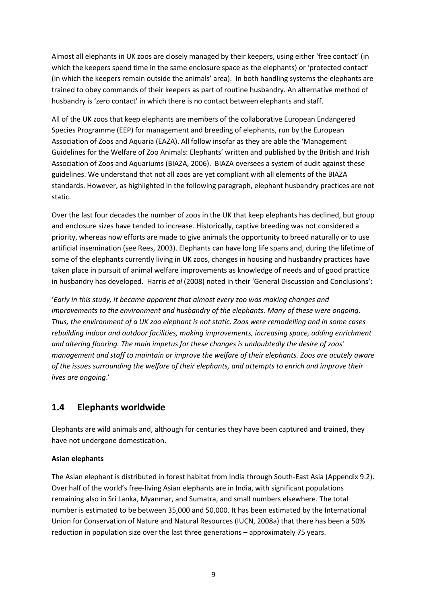Almost all elephants in UK zoos are closely managed by their keepers, using either 'free contact' (in which the keepers spend time in the same enclosure space as the elephants) or 'protected contact' (in which the keepers remain outside the animals' area). In both handling systems the elephants are trained to obey commands of their keepers as part of routine husbandry. An alternative method of husbandry is 'zero contact' in which there is no contact between elephants and staff.

All of the UK zoos that keep elephants are members of the collaborative European Endangered Species Programme (EEP) for management and breeding of elephants, run by the European Association of Zoos and Aquaria (EAZA). All follow insofar as they are able the 'Management Guidelines for the Welfare of Zoo Animals: Elephants' written and published by the British and Irish Association of Zoos and Aquariums (BIAZA, 2006). BIAZA oversees a system of audit against these guidelines. We understand that not all zoos are yet compliant with all elements of the BIAZA standards. However, as highlighted in the following paragraph, elephant husbandry practices are not static.

Over the last four decades the number of zoos in the UK that keep elephants has declined, but group and enclosure sizes have tended to increase. Historically, captive breeding was not considered a priority, whereas now efforts are made to give animals the opportunity to breed naturally or to use artificial insemination (see Rees, 2003). Elephants can have long life spans and, during the lifetime of some of the elephants currently living in UK zoos, changes in housing and husbandry practices have taken place in pursuit of animal welfare improvements as knowledge of needs and of good practice in husbandry has developed. Harris *et al* (2008) noted in their 'General Discussion and Conclusions':

'*Early in this study, it became apparent that almost every zoo was making changes and improvements to the environment and husbandry of the elephants. Many of these were ongoing. Thus, the environment of a UK zoo elephant is not static. Zoos were remodelling and in some cases rebuilding indoor and outdoor facilities, making improvements, increasing space, adding enrichment and altering flooring. The main impetus for these changes is undoubtedly the desire of zoos' management and staff to maintain or improve the welfare of their elephants. Zoos are acutely aware of the issues surrounding the welfare of their elephants, and attempts to enrich and improve their lives are ongoing*.'

### **1.4 Elephants worldwide**

Elephants are wild animals and, although for centuries they have been captured and trained, they have not undergone domestication.

### **Asian elephants**

The Asian elephant is distributed in forest habitat from India through South-East Asia (Appendix 9.2). Over half of the world's free-living Asian elephants are in India, with significant populations remaining also in Sri Lanka, Myanmar, and Sumatra, and small numbers elsewhere. The total number is estimated to be between 35,000 and 50,000. It has been estimated by the International Union for Conservation of Nature and Natural Resources (IUCN, 2008a) that there has been a 50% reduction in population size over the last three generations – approximately 75 years.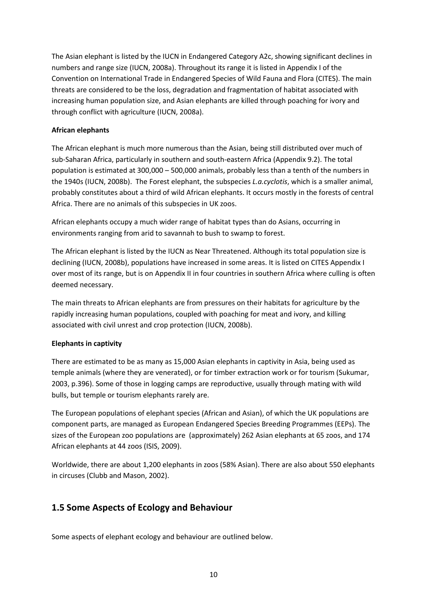The Asian elephant is listed by the IUCN in Endangered Category A2c, showing significant declines in numbers and range size (IUCN, 2008a). Throughout its range it is listed in Appendix I of the Convention on International Trade in Endangered Species of Wild Fauna and Flora (CITES). The main threats are considered to be the loss, degradation and fragmentation of habitat associated with increasing human population size, and Asian elephants are killed through poaching for ivory and through conflict with agriculture (IUCN, 2008a).

#### **African elephants**

The African elephant is much more numerous than the Asian, being still distributed over much of sub-Saharan Africa, particularly in southern and south-eastern Africa (Appendix 9.2). The total population is estimated at 300,000 – 500,000 animals, probably less than a tenth of the numbers in the 1940s (IUCN, 2008b). The Forest elephant, the subspecies *L.a.cyclotis*, which is a smaller animal, probably constitutes about a third of wild African elephants. It occurs mostly in the forests of central Africa. There are no animals of this subspecies in UK zoos.

African elephants occupy a much wider range of habitat types than do Asians, occurring in environments ranging from arid to savannah to bush to swamp to forest.

The African elephant is listed by the IUCN as Near Threatened. Although its total population size is declining (IUCN, 2008b), populations have increased in some areas. It is listed on CITES Appendix I over most of its range, but is on Appendix II in four countries in southern Africa where culling is often deemed necessary.

The main threats to African elephants are from pressures on their habitats for agriculture by the rapidly increasing human populations, coupled with poaching for meat and ivory, and killing associated with civil unrest and crop protection (IUCN, 2008b).

#### **Elephants in captivity**

There are estimated to be as many as 15,000 Asian elephants in captivity in Asia, being used as temple animals (where they are venerated), or for timber extraction work or for tourism (Sukumar, 2003, p.396). Some of those in logging camps are reproductive, usually through mating with wild bulls, but temple or tourism elephants rarely are.

The European populations of elephant species (African and Asian), of which the UK populations are component parts, are managed as European Endangered Species Breeding Programmes (EEPs). The sizes of the European zoo populations are (approximately) 262 Asian elephants at 65 zoos, and 174 African elephants at 44 zoos (ISIS, 2009).

Worldwide, there are about 1,200 elephants in zoos (58% Asian). There are also about 550 elephants in circuses (Clubb and Mason, 2002).

### **1.5 Some Aspects of Ecology and Behaviour**

Some aspects of elephant ecology and behaviour are outlined below.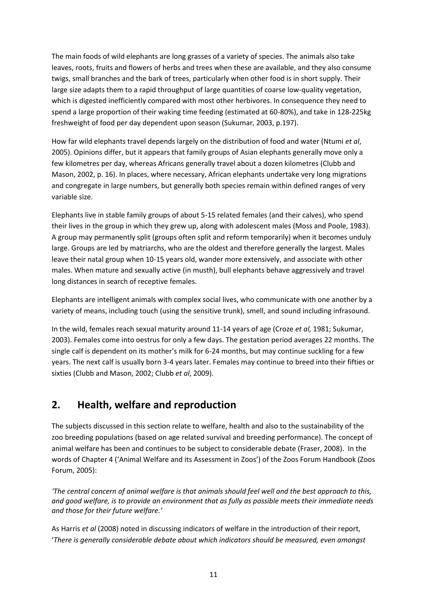The main foods of wild elephants are long grasses of a variety of species. The animals also take leaves, roots, fruits and flowers of herbs and trees when these are available, and they also consume twigs, small branches and the bark of trees, particularly when other food is in short supply. Their large size adapts them to a rapid throughput of large quantities of coarse low-quality vegetation, which is digested inefficiently compared with most other herbivores. In consequence they need to spend a large proportion of their waking time feeding (estimated at 60-80%), and take in 128-225kg freshweight of food per day dependent upon season (Sukumar, 2003, p.197).

How far wild elephants travel depends largely on the distribution of food and water (Ntumi *et al*, 2005). Opinions differ, but it appears that family groups of Asian elephants generally move only a few kilometres per day, whereas Africans generally travel about a dozen kilometres (Clubb and Mason, 2002, p. 16). In places, where necessary, African elephants undertake very long migrations and congregate in large numbers, but generally both species remain within defined ranges of very variable size.

Elephants live in stable family groups of about 5-15 related females (and their calves), who spend their lives in the group in which they grew up, along with adolescent males (Moss and Poole, 1983). A group may permanently split (groups often split and reform temporarily) when it becomes unduly large. Groups are led by matriarchs, who are the oldest and therefore generally the largest. Males leave their natal group when 10-15 years old, wander more extensively, and associate with other males. When mature and sexually active (in musth), bull elephants behave aggressively and travel long distances in search of receptive females.

Elephants are intelligent animals with complex social lives, who communicate with one another by a variety of means, including touch (using the sensitive trunk), smell, and sound including infrasound.

In the wild, females reach sexual maturity around 11-14 years of age (Croze *et al,* 1981; Sukumar, 2003). Females come into oestrus for only a few days. The gestation period averages 22 months. The single calf is dependent on its mother's milk for 6-24 months, but may continue suckling for a few years. The next calf is usually born 3-4 years later. Females may continue to breed into their fifties or sixties (Clubb and Mason, 2002; Clubb *et al*, 2009).

## **2. Health, welfare and reproduction**

The subjects discussed in this section relate to welfare, health and also to the sustainability of the zoo breeding populations (based on age related survival and breeding performance). The concept of animal welfare has been and continues to be subject to considerable debate (Fraser, 2008). In the words of Chapter 4 ('Animal Welfare and its Assessment in Zoos') of the Zoos Forum Handbook (Zoos Forum, 2005):

*'The central concern of animal welfare is that animals should feel well and the best approach to this, and good welfare, is to provide an environment that as fully as possible meets their immediate needs and those for their future welfare.'*

As Harris *et al* (2008) noted in discussing indicators of welfare in the introduction of their report, '*There is generally considerable debate about which indicators should be measured, even amongst*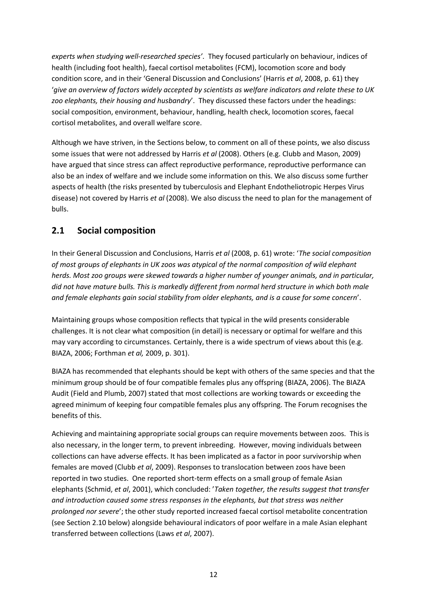*experts when studying well-researched species'*. They focused particularly on behaviour, indices of health (including foot health), faecal cortisol metabolites (FCM), locomotion score and body condition score, and in their 'General Discussion and Conclusions' (Harris *et al*, 2008, p. 61) they '*give an overview of factors widely accepted by scientists as welfare indicators and relate these to UK zoo elephants, their housing and husbandry*'. They discussed these factors under the headings: social composition, environment, behaviour, handling, health check, locomotion scores, faecal cortisol metabolites, and overall welfare score.

Although we have striven, in the Sections below, to comment on all of these points, we also discuss some issues that were not addressed by Harris *et al* (2008). Others (e.g. Clubb and Mason, 2009) have argued that since stress can affect reproductive performance, reproductive performance can also be an index of welfare and we include some information on this. We also discuss some further aspects of health (the risks presented by tuberculosis and Elephant Endotheliotropic Herpes Virus disease) not covered by Harris *et al* (2008). We also discuss the need to plan for the management of bulls.

### **2.1 Social composition**

In their General Discussion and Conclusions, Harris *et al* (2008, p. 61) wrote: '*The social composition of most groups of elephants in UK zoos was atypical of the normal composition of wild elephant herds. Most zoo groups were skewed towards a higher number of younger animals, and in particular, did not have mature bulls. This is markedly different from normal herd structure in which both male and female elephants gain social stability from older elephants, and is a cause for some concern*'.

Maintaining groups whose composition reflects that typical in the wild presents considerable challenges. It is not clear what composition (in detail) is necessary or optimal for welfare and this may vary according to circumstances. Certainly, there is a wide spectrum of views about this (e.g. BIAZA, 2006; Forthman *et al,* 2009, p. 301).

BIAZA has recommended that elephants should be kept with others of the same species and that the minimum group should be of four compatible females plus any offspring (BIAZA, 2006). The BIAZA Audit (Field and Plumb, 2007) stated that most collections are working towards or exceeding the agreed minimum of keeping four compatible females plus any offspring. The Forum recognises the benefits of this.

Achieving and maintaining appropriate social groups can require movements between zoos. This is also necessary, in the longer term, to prevent inbreeding. However, moving individuals between collections can have adverse effects. It has been implicated as a factor in poor survivorship when females are moved (Clubb *et al*, 2009). Responses to translocation between zoos have been reported in two studies. One reported short-term effects on a small group of female Asian elephants (Schmid, *et al*, 2001), which concluded: '*Taken together, the results suggest that transfer and introduction caused some stress responses in the elephants, but that stress was neither prolonged nor severe*'; the other study reported increased faecal cortisol metabolite concentration (see Section 2.10 below) alongside behavioural indicators of poor welfare in a male Asian elephant transferred between collections (Laws *et al*, 2007).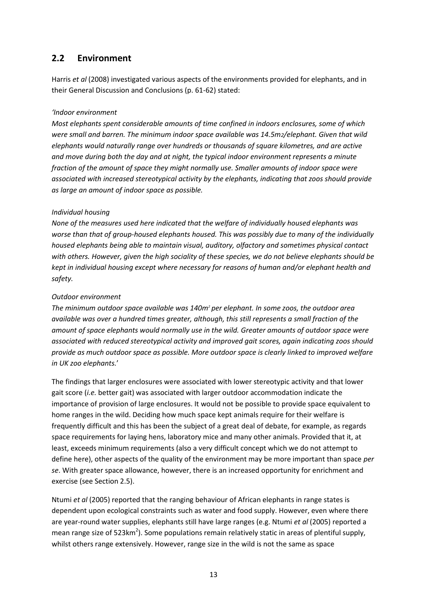### **2.2 Environment**

Harris *et al* (2008) investigated various aspects of the environments provided for elephants, and in their General Discussion and Conclusions (p. 61-62) stated:

#### *'Indoor environment*

*Most elephants spent considerable amounts of time confined in indoors enclosures, some of which were small and barren. The minimum indoor space available was 14.5m2/elephant. Given that wild elephants would naturally range over hundreds or thousands of square kilometres, and are active and move during both the day and at night, the typical indoor environment represents a minute fraction of the amount of space they might normally use. Smaller amounts of indoor space were associated with increased stereotypical activity by the elephants, indicating that zoos should provide as large an amount of indoor space as possible.*

#### *Individual housing*

*None of the measures used here indicated that the welfare of individually housed elephants was worse than that of group-housed elephants housed. This was possibly due to many of the individually housed elephants being able to maintain visual, auditory, olfactory and sometimes physical contact with others. However, given the high sociality of these species, we do not believe elephants should be kept in individual housing except where necessary for reasons of human and/or elephant health and safety.*

#### *Outdoor environment*

*The minimum outdoor space available was 140m<sup>2</sup> per elephant. In some zoos, the outdoor area available was over a hundred times greater, although, this still represents a small fraction of the amount of space elephants would normally use in the wild. Greater amounts of outdoor space were associated with reduced stereotypical activity and improved gait scores, again indicating zoos should provide as much outdoor space as possible. More outdoor space is clearly linked to improved welfare in UK zoo elephants.*'

The findings that larger enclosures were associated with lower stereotypic activity and that lower gait score (*i.e.* better gait) was associated with larger outdoor accommodation indicate the importance of provision of large enclosures. It would not be possible to provide space equivalent to home ranges in the wild. Deciding how much space kept animals require for their welfare is frequently difficult and this has been the subject of a great deal of debate, for example, as regards space requirements for laying hens, laboratory mice and many other animals. Provided that it, at least, exceeds minimum requirements (also a very difficult concept which we do not attempt to define here), other aspects of the quality of the environment may be more important than space *per se*. With greater space allowance, however, there is an increased opportunity for enrichment and exercise (see Section 2.5).

Ntumi *et al* (2005) reported that the ranging behaviour of African elephants in range states is dependent upon ecological constraints such as water and food supply. However, even where there are year-round water supplies, elephants still have large ranges (e.g. Ntumi *et al* (2005) reported a mean range size of 523km<sup>2</sup>). Some populations remain relatively static in areas of plentiful supply, whilst others range extensively. However, range size in the wild is not the same as space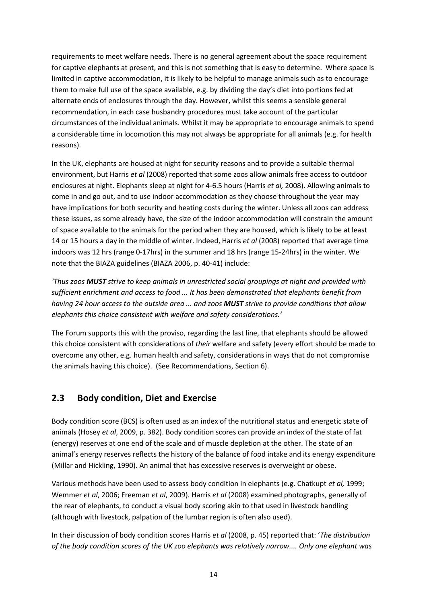requirements to meet welfare needs. There is no general agreement about the space requirement for captive elephants at present, and this is not something that is easy to determine. Where space is limited in captive accommodation, it is likely to be helpful to manage animals such as to encourage them to make full use of the space available, e.g. by dividing the day's diet into portions fed at alternate ends of enclosures through the day. However, whilst this seems a sensible general recommendation, in each case husbandry procedures must take account of the particular circumstances of the individual animals. Whilst it may be appropriate to encourage animals to spend a considerable time in locomotion this may not always be appropriate for all animals (e.g. for health reasons).

In the UK, elephants are housed at night for security reasons and to provide a suitable thermal environment, but Harris *et al* (2008) reported that some zoos allow animals free access to outdoor enclosures at night. Elephants sleep at night for 4-6.5 hours (Harris *et al,* 2008). Allowing animals to come in and go out, and to use indoor accommodation as they choose throughout the year may have implications for both security and heating costs during the winter. Unless all zoos can address these issues, as some already have, the size of the indoor accommodation will constrain the amount of space available to the animals for the period when they are housed, which is likely to be at least 14 or 15 hours a day in the middle of winter. Indeed, Harris *et al* (2008) reported that average time indoors was 12 hrs (range 0-17hrs) in the summer and 18 hrs (range 15-24hrs) in the winter. We note that the BIAZA guidelines (BIAZA 2006, p. 40-41) include:

*'Thus zoos MUST strive to keep animals in unrestricted social groupings at night and provided with sufficient enrichment and access to food ... It has been demonstrated that elephants benefit from having 24 hour access to the outside area ... and zoos MUST strive to provide conditions that allow elephants this choice consistent with welfare and safety considerations.'*

The Forum supports this with the proviso, regarding the last line, that elephants should be allowed this choice consistent with considerations of *their* welfare and safety (every effort should be made to overcome any other, e.g. human health and safety, considerations in ways that do not compromise the animals having this choice). (See Recommendations, Section 6).

### **2.3 Body condition, Diet and Exercise**

Body condition score (BCS) is often used as an index of the nutritional status and energetic state of animals (Hosey *et al*, 2009, p. 382). Body condition scores can provide an index of the state of fat (energy) reserves at one end of the scale and of muscle depletion at the other. The state of an animal's energy reserves reflects the history of the balance of food intake and its energy expenditure (Millar and Hickling, 1990). An animal that has excessive reserves is overweight or obese.

Various methods have been used to assess body condition in elephants (e.g. Chatkupt *et al,* 1999; Wemmer *et al*, 2006; Freeman *et al*, 2009). Harris *et al* (2008) examined photographs, generally of the rear of elephants, to conduct a visual body scoring akin to that used in livestock handling (although with livestock, palpation of the lumbar region is often also used).

In their discussion of body condition scores Harris *et al* (2008, p. 45) reported that: '*The distribution of the body condition scores of the UK zoo elephants was relatively narrow.... Only one elephant was*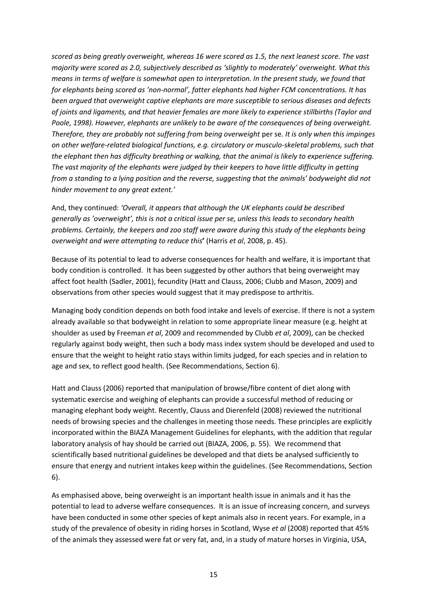*scored as being greatly overweight, whereas 16 were scored as 1.5, the next leanest score. The vast majority were scored as 2.0, subjectively described as 'slightly to moderately' overweight. What this means in terms of welfare is somewhat open to interpretation. In the present study, we found that for elephants being scored as 'non-normal', fatter elephants had higher FCM concentrations. It has been argued that overweight captive elephants are more susceptible to serious diseases and defects of joints and ligaments, and that heavier females are more likely to experience stillbirths (Taylor and Poole, 1998). However, elephants are unlikely to be aware of the consequences of being overweight. Therefore, they are probably not suffering from being overweight* per se*. It is only when this impinges on other welfare-related biological functions, e.g. circulatory or musculo-skeletal problems, such that the elephant then has difficulty breathing or walking, that the animal is likely to experience suffering. The vast majority of the elephants were judged by their keepers to have little difficulty in getting from a standing to a lying position and the reverse, suggesting that the animals' bodyweight did not hinder movement to any great extent.'*

And, they continued: *'Overall, it appears that although the UK elephants could be described generally as 'overweight', this is not a critical issue per se, unless this leads to secondary health problems. Certainly, the keepers and zoo staff were aware during this study of the elephants being overweight and were attempting to reduce this***'** (Harris *et al*, 2008, p. 45).

Because of its potential to lead to adverse consequences for health and welfare, it is important that body condition is controlled. It has been suggested by other authors that being overweight may affect foot health (Sadler, 2001), fecundity (Hatt and Clauss, 2006; Clubb and Mason, 2009) and observations from other species would suggest that it may predispose to arthritis.

Managing body condition depends on both food intake and levels of exercise. If there is not a system already available so that bodyweight in relation to some appropriate linear measure (e.g. height at shoulder as used by Freeman *et al*, 2009 and recommended by Clubb *et al*, 2009), can be checked regularly against body weight, then such a body mass index system should be developed and used to ensure that the weight to height ratio stays within limits judged, for each species and in relation to age and sex, to reflect good health. (See Recommendations, Section 6).

Hatt and Clauss (2006) reported that manipulation of browse/fibre content of diet along with systematic exercise and weighing of elephants can provide a successful method of reducing or managing elephant body weight. Recently, Clauss and Dierenfeld (2008) reviewed the nutritional needs of browsing species and the challenges in meeting those needs. These principles are explicitly incorporated within the BIAZA Management Guidelines for elephants, with the addition that regular laboratory analysis of hay should be carried out (BIAZA, 2006, p. 55). We recommend that scientifically based nutritional guidelines be developed and that diets be analysed sufficiently to ensure that energy and nutrient intakes keep within the guidelines. (See Recommendations, Section 6).

As emphasised above, being overweight is an important health issue in animals and it has the potential to lead to adverse welfare consequences. It is an issue of increasing concern, and surveys have been conducted in some other species of kept animals also in recent years. For example, in a study of the prevalence of obesity in riding horses in Scotland, Wyse *et al* (2008) reported that 45% of the animals they assessed were fat or very fat, and, in a study of mature horses in Virginia, USA,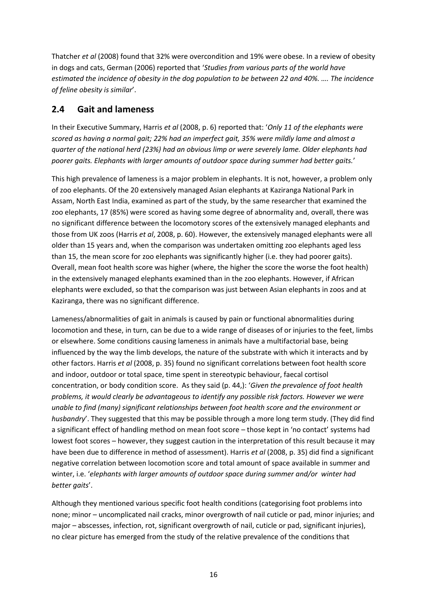Thatcher *et al* (2008) found that 32% were overcondition and 19% were obese. In a review of obesity in dogs and cats, German (2006) reported that '*Studies from various parts of the world have estimated the incidence of obesity in the dog population to be between 22 and 40%. …. The incidence of feline obesity is similar*'.

### **2.4 Gait and lameness**

In their Executive Summary, Harris *et al* (2008, p. 6) reported that: '*Only 11 of the elephants were scored as having a normal gait; 22% had an imperfect gait, 35% were mildly lame and almost a quarter of the national herd (23%) had an obvious limp or were severely lame. Older elephants had poorer gaits. Elephants with larger amounts of outdoor space during summer had better gaits.*'

This high prevalence of lameness is a major problem in elephants. It is not, however, a problem only of zoo elephants. Of the 20 extensively managed Asian elephants at Kaziranga National Park in Assam, North East India, examined as part of the study, by the same researcher that examined the zoo elephants, 17 (85%) were scored as having some degree of abnormality and, overall, there was no significant difference between the locomotory scores of the extensively managed elephants and those from UK zoos (Harris *et al*, 2008, p. 60). However, the extensively managed elephants were all older than 15 years and, when the comparison was undertaken omitting zoo elephants aged less than 15, the mean score for zoo elephants was significantly higher (i.e. they had poorer gaits). Overall, mean foot health score was higher (where, the higher the score the worse the foot health) in the extensively managed elephants examined than in the zoo elephants. However, if African elephants were excluded, so that the comparison was just between Asian elephants in zoos and at Kaziranga, there was no significant difference.

Lameness/abnormalities of gait in animals is caused by pain or functional abnormalities during locomotion and these, in turn, can be due to a wide range of diseases of or injuries to the feet, limbs or elsewhere. Some conditions causing lameness in animals have a multifactorial base, being influenced by the way the limb develops, the nature of the substrate with which it interacts and by other factors. Harris *et al* (2008, p. 35) found no significant correlations between foot health score and indoor, outdoor or total space, time spent in stereotypic behaviour, faecal cortisol concentration, or body condition score. As they said (p. 44,): '*Given the prevalence of foot health problems, it would clearly be advantageous to identify any possible risk factors. However we were unable to find (many) significant relationships between foot health score and the environment or husbandry*'. They suggested that this may be possible through a more long term study. (They did find a significant effect of handling method on mean foot score – those kept in 'no contact' systems had lowest foot scores – however, they suggest caution in the interpretation of this result because it may have been due to difference in method of assessment). Harris *et al* (2008, p. 35) did find a significant negative correlation between locomotion score and total amount of space available in summer and winter, i.e. '*elephants with larger amounts of outdoor space during summer and/or winter had better gaits*'.

Although they mentioned various specific foot health conditions (categorising foot problems into none; minor – uncomplicated nail cracks, minor overgrowth of nail cuticle or pad, minor injuries; and major – abscesses, infection, rot, significant overgrowth of nail, cuticle or pad, significant injuries), no clear picture has emerged from the study of the relative prevalence of the conditions that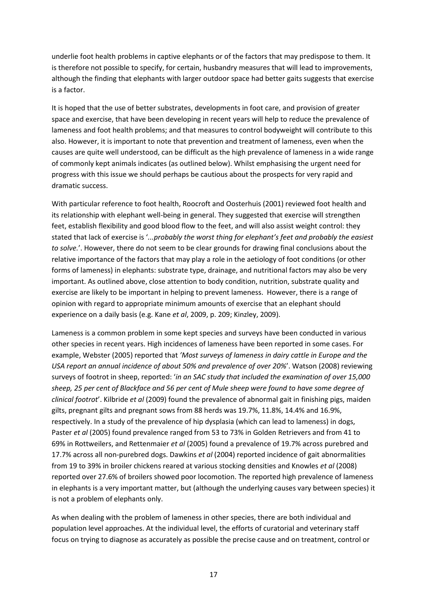underlie foot health problems in captive elephants or of the factors that may predispose to them. It is therefore not possible to specify, for certain, husbandry measures that will lead to improvements, although the finding that elephants with larger outdoor space had better gaits suggests that exercise is a factor.

It is hoped that the use of better substrates, developments in foot care, and provision of greater space and exercise, that have been developing in recent years will help to reduce the prevalence of lameness and foot health problems; and that measures to control bodyweight will contribute to this also. However, it is important to note that prevention and treatment of lameness, even when the causes are quite well understood, can be difficult as the high prevalence of lameness in a wide range of commonly kept animals indicates (as outlined below). Whilst emphasising the urgent need for progress with this issue we should perhaps be cautious about the prospects for very rapid and dramatic success.

With particular reference to foot health, Roocroft and Oosterhuis (2001) reviewed foot health and its relationship with elephant well-being in general. They suggested that exercise will strengthen feet, establish flexibility and good blood flow to the feet, and will also assist weight control: they stated that lack of exercise is '*...probably the worst thing for elephant's feet and probably the easiest to solve.*'. However, there do not seem to be clear grounds for drawing final conclusions about the relative importance of the factors that may play a role in the aetiology of foot conditions (or other forms of lameness) in elephants: substrate type, drainage, and nutritional factors may also be very important. As outlined above, close attention to body condition, nutrition, substrate quality and exercise are likely to be important in helping to prevent lameness. However, there is a range of opinion with regard to appropriate minimum amounts of exercise that an elephant should experience on a daily basis (e.g. Kane *et al*, 2009, p. 209; Kinzley, 2009).

Lameness is a common problem in some kept species and surveys have been conducted in various other species in recent years. High incidences of lameness have been reported in some cases. For example, Webster (2005) reported that *'Most surveys of lameness in dairy cattle in Europe and the USA report an annual incidence of about 50% and prevalence of over 20%*'. Watson (2008) reviewing surveys of footrot in sheep, reported: '*in an SAC study that included the examination of over 15,000 sheep, 25 per cent of Blackface and 56 per cent of Mule sheep were found to have some degree of clinical footrot*'. Kilbride *et al* (2009) found the prevalence of abnormal gait in finishing pigs, maiden gilts, pregnant gilts and pregnant sows from 88 herds was 19.7%, 11.8%, 14.4% and 16.9%, respectively. In a study of the prevalence of hip dysplasia (which can lead to lameness) in dogs, Paster *et al* (2005) found prevalence ranged from 53 to 73% in Golden Retrievers and from 41 to 69% in Rottweilers, and Rettenmaier *et al* (2005) found a prevalence of 19.7% across purebred and 17.7% across all non-purebred dogs. Dawkins *et al* (2004) reported incidence of gait abnormalities from 19 to 39% in broiler chickens reared at various stocking densities and Knowles *et al* (2008) reported over 27.6% of broilers showed poor locomotion. The reported high prevalence of lameness in elephants is a very important matter, but (although the underlying causes vary between species) it is not a problem of elephants only.

As when dealing with the problem of lameness in other species, there are both individual and population level approaches. At the individual level, the efforts of curatorial and veterinary staff focus on trying to diagnose as accurately as possible the precise cause and on treatment, control or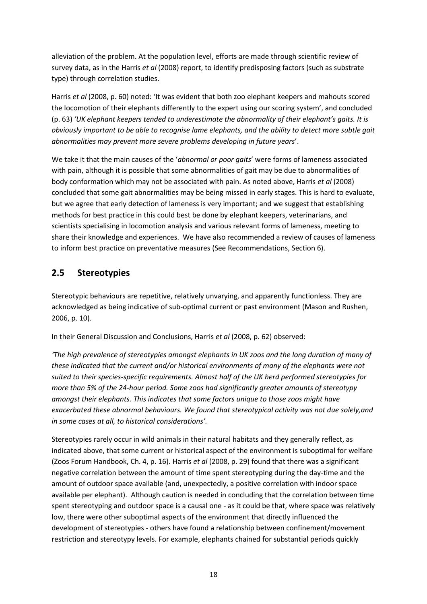alleviation of the problem. At the population level, efforts are made through scientific review of survey data, as in the Harris *et al* (2008) report, to identify predisposing factors (such as substrate type) through correlation studies.

Harris *et al* (2008, p. 60) noted: 'It was evident that both zoo elephant keepers and mahouts scored the locomotion of their elephants differently to the expert using our scoring system', and concluded (p. 63) *'UK elephant keepers tended to underestimate the abnormality of their elephant's gaits. It is obviously important to be able to recognise lame elephants, and the ability to detect more subtle gait abnormalities may prevent more severe problems developing in future years*'.

We take it that the main causes of the '*abnormal or poor gaits*' were forms of lameness associated with pain, although it is possible that some abnormalities of gait may be due to abnormalities of body conformation which may not be associated with pain. As noted above, Harris *et al* (2008) concluded that some gait abnormalities may be being missed in early stages. This is hard to evaluate, but we agree that early detection of lameness is very important; and we suggest that establishing methods for best practice in this could best be done by elephant keepers, veterinarians, and scientists specialising in locomotion analysis and various relevant forms of lameness, meeting to share their knowledge and experiences. We have also recommended a review of causes of lameness to inform best practice on preventative measures (See Recommendations, Section 6).

### **2.5 Stereotypies**

Stereotypic behaviours are repetitive, relatively unvarying, and apparently functionless. They are acknowledged as being indicative of sub-optimal current or past environment (Mason and Rushen, 2006, p. 10).

In their General Discussion and Conclusions, Harris *et al* (2008, p. 62) observed:

*'The high prevalence of stereotypies amongst elephants in UK zoos and the long duration of many of these indicated that the current and/or historical environments of many of the elephants were not suited to their species-specific requirements. Almost half of the UK herd performed stereotypies for more than 5% of the 24-hour period. Some zoos had significantly greater amounts of stereotypy amongst their elephants. This indicates that some factors unique to those zoos might have exacerbated these abnormal behaviours. We found that stereotypical activity was not due solely,and in some cases at all, to historical considerations'.* 

Stereotypies rarely occur in wild animals in their natural habitats and they generally reflect, as indicated above, that some current or historical aspect of the environment is suboptimal for welfare (Zoos Forum Handbook, Ch. 4, p. 16). Harris *et al* (2008, p. 29) found that there was a significant negative correlation between the amount of time spent stereotyping during the day-time and the amount of outdoor space available (and, unexpectedly, a positive correlation with indoor space available per elephant). Although caution is needed in concluding that the correlation between time spent stereotyping and outdoor space is a causal one - as it could be that, where space was relatively low, there were other suboptimal aspects of the environment that directly influenced the development of stereotypies - others have found a relationship between confinement/movement restriction and stereotypy levels. For example, elephants chained for substantial periods quickly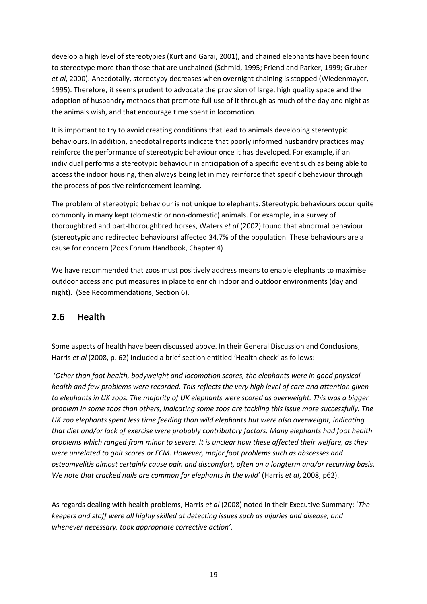develop a high level of stereotypies (Kurt and Garai, 2001), and chained elephants have been found to stereotype more than those that are unchained (Schmid, 1995; Friend and Parker, 1999; Gruber *et al*, 2000). Anecdotally, stereotypy decreases when overnight chaining is stopped (Wiedenmayer, 1995). Therefore, it seems prudent to advocate the provision of large, high quality space and the adoption of husbandry methods that promote full use of it through as much of the day and night as the animals wish, and that encourage time spent in locomotion*.*

It is important to try to avoid creating conditions that lead to animals developing stereotypic behaviours. In addition, anecdotal reports indicate that poorly informed husbandry practices may reinforce the performance of stereotypic behaviour once it has developed. For example, if an individual performs a stereotypic behaviour in anticipation of a specific event such as being able to access the indoor housing, then always being let in may reinforce that specific behaviour through the process of positive reinforcement learning.

The problem of stereotypic behaviour is not unique to elephants. Stereotypic behaviours occur quite commonly in many kept (domestic or non-domestic) animals. For example, in a survey of thoroughbred and part-thoroughbred horses, Waters *et al* (2002) found that abnormal behaviour (stereotypic and redirected behaviours) affected 34.7% of the population. These behaviours are a cause for concern (Zoos Forum Handbook, Chapter 4).

We have recommended that zoos must positively address means to enable elephants to maximise outdoor access and put measures in place to enrich indoor and outdoor environments (day and night). (See Recommendations, Section 6).

### **2.6 Health**

Some aspects of health have been discussed above. In their General Discussion and Conclusions, Harris *et al* (2008, p. 62) included a brief section entitled 'Health check' as follows:

'*Other than foot health, bodyweight and locomotion scores, the elephants were in good physical health and few problems were recorded. This reflects the very high level of care and attention given to elephants in UK zoos. The majority of UK elephants were scored as overweight. This was a bigger problem in some zoos than others, indicating some zoos are tackling this issue more successfully. The UK zoo elephants spent less time feeding than wild elephants but were also overweight, indicating that diet and/or lack of exercise were probably contributory factors. Many elephants had foot health problems which ranged from minor to severe. It is unclear how these affected their welfare, as they were unrelated to gait scores or FCM. However, major foot problems such as abscesses and osteomyelitis almost certainly cause pain and discomfort, often on a longterm and/or recurring basis. We note that cracked nails are common for elephants in the wild*' (Harris *et al*, 2008, p62).

As regards dealing with health problems, Harris *et al* (2008) noted in their Executive Summary: '*The keepers and staff were all highly skilled at detecting issues such as injuries and disease, and whenever necessary, took appropriate corrective action'*.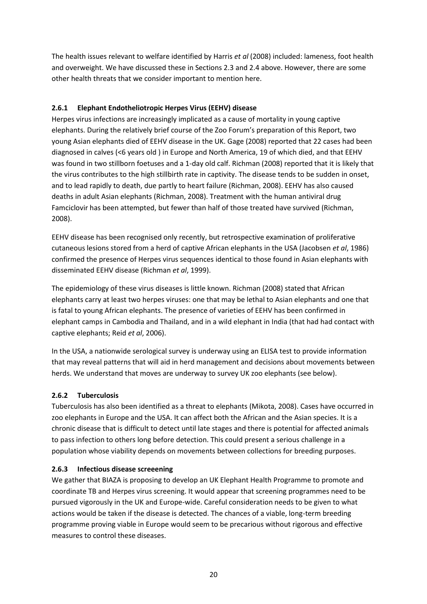The health issues relevant to welfare identified by Harris *et al* (2008) included: lameness, foot health and overweight. We have discussed these in Sections 2.3 and 2.4 above. However, there are some other health threats that we consider important to mention here.

### **2.6.1 Elephant Endotheliotropic Herpes Virus (EEHV) disease**

Herpes virus infections are increasingly implicated as a cause of mortality in young captive elephants. During the relatively brief course of the Zoo Forum's preparation of this Report, two young Asian elephants died of EEHV disease in the UK. Gage (2008) reported that 22 cases had been diagnosed in calves (<6 years old ) in Europe and North America, 19 of which died, and that EEHV was found in two stillborn foetuses and a 1-day old calf. Richman (2008) reported that it is likely that the virus contributes to the high stillbirth rate in captivity. The disease tends to be sudden in onset, and to lead rapidly to death, due partly to heart failure (Richman, 2008). EEHV has also caused deaths in adult Asian elephants (Richman, 2008). Treatment with the human antiviral drug Famciclovir has been attempted, but fewer than half of those treated have survived (Richman, 2008).

EEHV disease has been recognised only recently, but retrospective examination of proliferative cutaneous lesions stored from a herd of captive African elephants in the USA (Jacobsen *et al*, 1986) confirmed the presence of Herpes virus sequences identical to those found in Asian elephants with disseminated EEHV disease (Richman *et al*, 1999).

The epidemiology of these virus diseases is little known. Richman (2008) stated that African elephants carry at least two herpes viruses: one that may be lethal to Asian elephants and one that is fatal to young African elephants. The presence of varieties of EEHV has been confirmed in elephant camps in Cambodia and Thailand, and in a wild elephant in India (that had had contact with captive elephants; Reid *et al*, 2006).

In the USA, a nationwide serological survey is underway using an ELISA test to provide information that may reveal patterns that will aid in herd management and decisions about movements between herds. We understand that moves are underway to survey UK zoo elephants (see below).

#### **2.6.2 Tuberculosis**

Tuberculosis has also been identified as a threat to elephants (Mikota, 2008). Cases have occurred in zoo elephants in Europe and the USA. It can affect both the African and the Asian species. It is a chronic disease that is difficult to detect until late stages and there is potential for affected animals to pass infection to others long before detection. This could present a serious challenge in a population whose viability depends on movements between collections for breeding purposes.

#### **2.6.3 Infectious disease screeening**

We gather that BIAZA is proposing to develop an UK Elephant Health Programme to promote and coordinate TB and Herpes virus screening. It would appear that screening programmes need to be pursued vigorously in the UK and Europe-wide. Careful consideration needs to be given to what actions would be taken if the disease is detected. The chances of a viable, long-term breeding programme proving viable in Europe would seem to be precarious without rigorous and effective measures to control these diseases.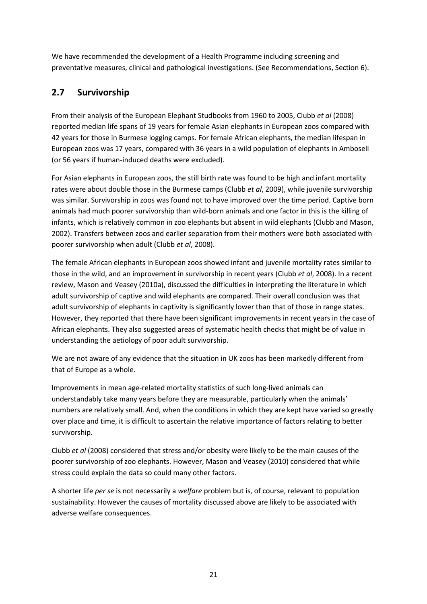We have recommended the development of a Health Programme including screening and preventative measures, clinical and pathological investigations. (See Recommendations, Section 6).

## **2.7 Survivorship**

From their analysis of the European Elephant Studbooks from 1960 to 2005, Clubb *et al* (2008) reported median life spans of 19 years for female Asian elephants in European zoos compared with 42 years for those in Burmese logging camps. For female African elephants, the median lifespan in European zoos was 17 years, compared with 36 years in a wild population of elephants in Amboseli (or 56 years if human-induced deaths were excluded).

For Asian elephants in European zoos, the still birth rate was found to be high and infant mortality rates were about double those in the Burmese camps (Clubb *et al*, 2009), while juvenile survivorship was similar. Survivorship in zoos was found not to have improved over the time period. Captive born animals had much poorer survivorship than wild-born animals and one factor in this is the killing of infants, which is relatively common in zoo elephants but absent in wild elephants (Clubb and Mason, 2002). Transfers between zoos and earlier separation from their mothers were both associated with poorer survivorship when adult (Clubb *et al*, 2008).

The female African elephants in European zoos showed infant and juvenile mortality rates similar to those in the wild, and an improvement in survivorship in recent years (Clubb *et al*, 2008). In a recent review, Mason and Veasey (2010a), discussed the difficulties in interpreting the literature in which adult survivorship of captive and wild elephants are compared. Their overall conclusion was that adult survivorship of elephants in captivity is significantly lower than that of those in range states. However, they reported that there have been significant improvements in recent years in the case of African elephants. They also suggested areas of systematic health checks that might be of value in understanding the aetiology of poor adult survivorship.

We are not aware of any evidence that the situation in UK zoos has been markedly different from that of Europe as a whole.

Improvements in mean age-related mortality statistics of such long-lived animals can understandably take many years before they are measurable, particularly when the animals' numbers are relatively small. And, when the conditions in which they are kept have varied so greatly over place and time, it is difficult to ascertain the relative importance of factors relating to better survivorship.

Clubb *et al* (2008) considered that stress and/or obesity were likely to be the main causes of the poorer survivorship of zoo elephants. However, Mason and Veasey (2010) considered that while stress could explain the data so could many other factors.

A shorter life *per se* is not necessarily a *welfare* problem but is, of course, relevant to population sustainability. However the causes of mortality discussed above are likely to be associated with adverse welfare consequences.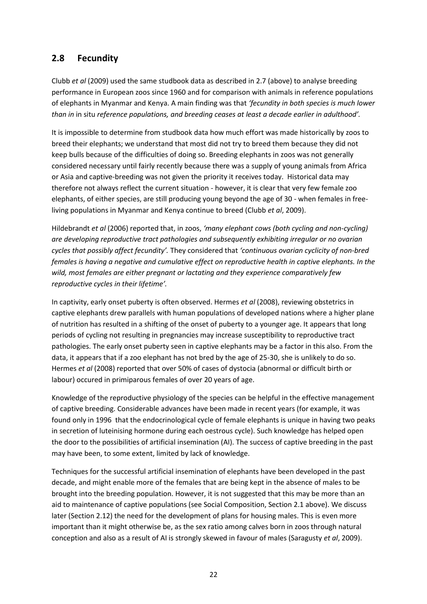### **2.8 Fecundity**

Clubb *et al* (2009) used the same studbook data as described in 2.7 (above) to analyse breeding performance in European zoos since 1960 and for comparison with animals in reference populations of elephants in Myanmar and Kenya. A main finding was that *'fecundity in both species is much lower than in* in situ *reference populations, and breeding ceases at least a decade earlier in adulthood'.*

It is impossible to determine from studbook data how much effort was made historically by zoos to breed their elephants; we understand that most did not try to breed them because they did not keep bulls because of the difficulties of doing so. Breeding elephants in zoos was not generally considered necessary until fairly recently because there was a supply of young animals from Africa or Asia and captive-breeding was not given the priority it receives today. Historical data may therefore not always reflect the current situation - however, it is clear that very few female zoo elephants, of either species, are still producing young beyond the age of 30 - when females in freeliving populations in Myanmar and Kenya continue to breed (Clubb *et al*, 2009).

Hildebrandt *et al* (2006) reported that, in zoos, *'many elephant cows (both cycling and non-cycling) are developing reproductive tract pathologies and subsequently exhibiting irregular or no ovarian cycles that possibly affect fecundity'.* They considered that *'continuous ovarian cyclicity of non-bred females is having a negative and cumulative effect on reproductive health in captive elephants. In the wild, most females are either pregnant or lactating and they experience comparatively few reproductive cycles in their lifetime'.*

In captivity, early onset puberty is often observed. Hermes *et al* (2008), reviewing obstetrics in captive elephants drew parallels with human populations of developed nations where a higher plane of nutrition has resulted in a shifting of the onset of puberty to a younger age. It appears that long periods of cycling not resulting in pregnancies may increase susceptibility to reproductive tract pathologies. The early onset puberty seen in captive elephants may be a factor in this also. From the data, it appears that if a zoo elephant has not bred by the age of 25-30, she is unlikely to do so. Hermes *et al* (2008) reported that over 50% of cases of dystocia (abnormal or difficult birth or labour) occured in primiparous females of over 20 years of age.

Knowledge of the reproductive physiology of the species can be helpful in the effective management of captive breeding. Considerable advances have been made in recent years (for example, it was found only in 1996 that the endocrinological cycle of female elephants is unique in having two peaks in secretion of luteinising hormone during each oestrous cycle). Such knowledge has helped open the door to the possibilities of artificial insemination (AI). The success of captive breeding in the past may have been, to some extent, limited by lack of knowledge.

Techniques for the successful artificial insemination of elephants have been developed in the past decade, and might enable more of the females that are being kept in the absence of males to be brought into the breeding population. However, it is not suggested that this may be more than an aid to maintenance of captive populations (see Social Composition, Section 2.1 above). We discuss later (Section 2.12) the need for the development of plans for housing males. This is even more important than it might otherwise be, as the sex ratio among calves born in zoos through natural conception and also as a result of AI is strongly skewed in favour of males (Saragusty *et al*, 2009).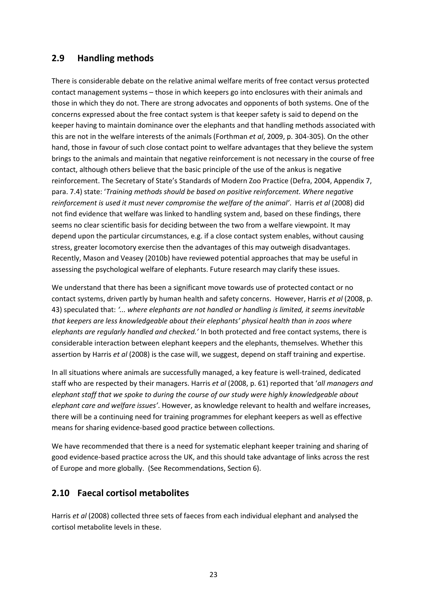### **2.9 Handling methods**

There is considerable debate on the relative animal welfare merits of free contact versus protected contact management systems – those in which keepers go into enclosures with their animals and those in which they do not. There are strong advocates and opponents of both systems. One of the concerns expressed about the free contact system is that keeper safety is said to depend on the keeper having to maintain dominance over the elephants and that handling methods associated with this are not in the welfare interests of the animals (Forthman *et al*, 2009, p. 304-305)*.* On the other hand, those in favour of such close contact point to welfare advantages that they believe the system brings to the animals and maintain that negative reinforcement is not necessary in the course of free contact, although others believe that the basic principle of the use of the ankus is negative reinforcement. The Secretary of State's Standards of Modern Zoo Practice (Defra, 2004, Appendix 7, para. 7.4) state: '*Training methods should be based on positive reinforcement. Where negative reinforcement is used it must never compromise the welfare of the animal'*. Harris *et al* (2008) did not find evidence that welfare was linked to handling system and, based on these findings, there seems no clear scientific basis for deciding between the two from a welfare viewpoint. It may depend upon the particular circumstances, e.g. if a close contact system enables, without causing stress, greater locomotory exercise then the advantages of this may outweigh disadvantages. Recently, Mason and Veasey (2010b) have reviewed potential approaches that may be useful in assessing the psychological welfare of elephants. Future research may clarify these issues.

We understand that there has been a significant move towards use of protected contact or no contact systems, driven partly by human health and safety concerns. However, Harris *et al* (2008, p. 43) speculated that: *'... where elephants are not handled or handling is limited, it seems inevitable that keepers are less knowledgeable about their elephants' physical health than in zoos where elephants are regularly handled and checked.'* In both protected and free contact systems, there is considerable interaction between elephant keepers and the elephants, themselves. Whether this assertion by Harris *et al* (2008) is the case will, we suggest, depend on staff training and expertise.

In all situations where animals are successfully managed, a key feature is well-trained, dedicated staff who are respected by their managers. Harris *et al* (2008, p. 61) reported that '*all managers and elephant staff that we spoke to during the course of our study were highly knowledgeable about elephant care and welfare issues'*. However, as knowledge relevant to health and welfare increases, there will be a continuing need for training programmes for elephant keepers as well as effective means for sharing evidence-based good practice between collections.

We have recommended that there is a need for systematic elephant keeper training and sharing of good evidence-based practice across the UK, and this should take advantage of links across the rest of Europe and more globally. (See Recommendations, Section 6).

### **2.10 Faecal cortisol metabolites**

Harris *et al* (2008) collected three sets of faeces from each individual elephant and analysed the cortisol metabolite levels in these.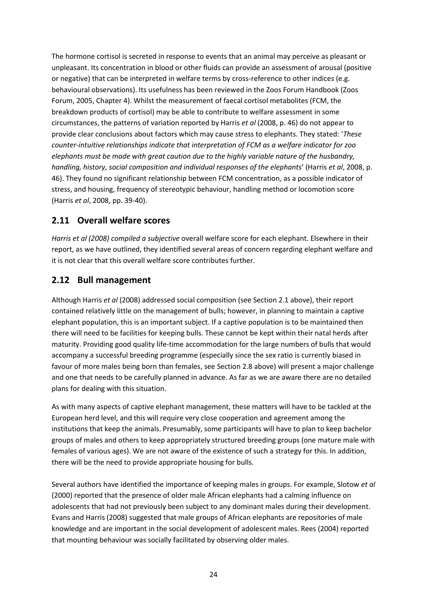The hormone cortisol is secreted in response to events that an animal may perceive as pleasant or unpleasant. Its concentration in blood or other fluids can provide an assessment of arousal (positive or negative) that can be interpreted in welfare terms by cross-reference to other indices (e.g. behavioural observations). Its usefulness has been reviewed in the Zoos Forum Handbook (Zoos Forum, 2005, Chapter 4). Whilst the measurement of faecal cortisol metabolites (FCM, the breakdown products of cortisol) may be able to contribute to welfare assessment in some circumstances, the patterns of variation reported by Harris *et al* (2008, p. 46) do not appear to provide clear conclusions about factors which may cause stress to elephants. They stated: '*These counter-intuitive relationships indicate that interpretation of FCM as a welfare indicator for zoo elephants must be made with great caution due to the highly variable nature of the husbandry, handling, history, social composition and individual responses of the elephants*' (Harris *et al*, 2008, p. 46). They found no significant relationship between FCM concentration, as a possible indicator of stress, and housing, frequency of stereotypic behaviour, handling method or locomotion score (Harris *et al*, 2008, pp. 39-40).

### **2.11 Overall welfare scores**

*Harris et al (2008) compiled a subjective* overall welfare score for each elephant. Elsewhere in their report, as we have outlined, they identified several areas of concern regarding elephant welfare and it is not clear that this overall welfare score contributes further.

### **2.12 Bull management**

Although Harris *et al* (2008) addressed social composition (see Section 2.1 above), their report contained relatively little on the management of bulls; however, in planning to maintain a captive elephant population, this is an important subject. If a captive population is to be maintained then there will need to be facilities for keeping bulls. These cannot be kept within their natal herds after maturity. Providing good quality life-time accommodation for the large numbers of bulls that would accompany a successful breeding programme (especially since the sex ratio is currently biased in favour of more males being born than females, see Section 2.8 above) will present a major challenge and one that needs to be carefully planned in advance. As far as we are aware there are no detailed plans for dealing with this situation.

As with many aspects of captive elephant management, these matters will have to be tackled at the European herd level, and this will require very close cooperation and agreement among the institutions that keep the animals. Presumably, some participants will have to plan to keep bachelor groups of males and others to keep appropriately structured breeding groups (one mature male with females of various ages). We are not aware of the existence of such a strategy for this. In addition, there will be the need to provide appropriate housing for bulls.

Several authors have identified the importance of keeping males in groups. For example, Slotow *et al* (2000) reported that the presence of older male African elephants had a calming influence on adolescents that had not previously been subject to any dominant males during their development. Evans and Harris (2008) suggested that male groups of African elephants are repositories of male knowledge and are important in the social development of adolescent males. Rees (2004) reported that mounting behaviour was socially facilitated by observing older males.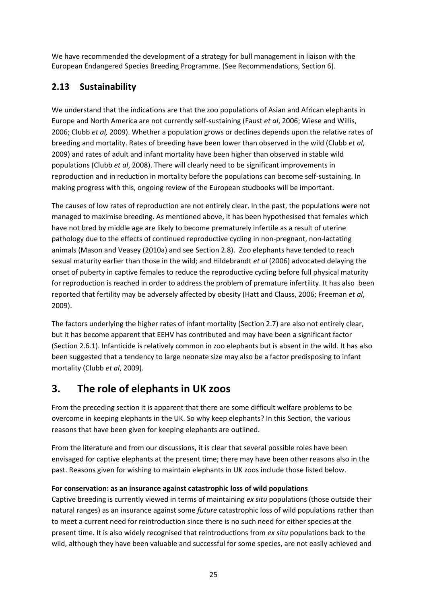We have recommended the development of a strategy for bull management in liaison with the European Endangered Species Breeding Programme. (See Recommendations, Section 6).

## **2.13 Sustainability**

We understand that the indications are that the zoo populations of Asian and African elephants in Europe and North America are not currently self-sustaining (Faust *et al*, 2006; Wiese and Willis, 2006; Clubb *et al,* 2009). Whether a population grows or declines depends upon the relative rates of breeding and mortality. Rates of breeding have been lower than observed in the wild (Clubb *et al*, 2009) and rates of adult and infant mortality have been higher than observed in stable wild populations (Clubb *et al*, 2008). There will clearly need to be significant improvements in reproduction and in reduction in mortality before the populations can become self-sustaining. In making progress with this, ongoing review of the European studbooks will be important.

The causes of low rates of reproduction are not entirely clear. In the past, the populations were not managed to maximise breeding. As mentioned above, it has been hypothesised that females which have not bred by middle age are likely to become prematurely infertile as a result of uterine pathology due to the effects of continued reproductive cycling in non-pregnant, non-lactating animals (Mason and Veasey (2010a) and see Section 2.8). Zoo elephants have tended to reach sexual maturity earlier than those in the wild; and Hildebrandt *et al* (2006) advocated delaying the onset of puberty in captive females to reduce the reproductive cycling before full physical maturity for reproduction is reached in order to address the problem of premature infertility. It has also been reported that fertility may be adversely affected by obesity (Hatt and Clauss, 2006; Freeman *et al*, 2009).

The factors underlying the higher rates of infant mortality (Section 2.7) are also not entirely clear, but it has become apparent that EEHV has contributed and may have been a significant factor (Section 2.6.1). Infanticide is relatively common in zoo elephants but is absent in the wild. It has also been suggested that a tendency to large neonate size may also be a factor predisposing to infant mortality (Clubb *et al*, 2009).

## **3. The role of elephants in UK zoos**

From the preceding section it is apparent that there are some difficult welfare problems to be overcome in keeping elephants in the UK. So why keep elephants? In this Section, the various reasons that have been given for keeping elephants are outlined.

From the literature and from our discussions, it is clear that several possible roles have been envisaged for captive elephants at the present time; there may have been other reasons also in the past. Reasons given for wishing to maintain elephants in UK zoos include those listed below.

### **For conservation: as an insurance against catastrophic loss of wild populations**

Captive breeding is currently viewed in terms of maintaining *ex situ* populations (those outside their natural ranges) as an insurance against some *future* catastrophic loss of wild populations rather than to meet a current need for reintroduction since there is no such need for either species at the present time. It is also widely recognised that reintroductions from *ex situ* populations back to the wild, although they have been valuable and successful for some species, are not easily achieved and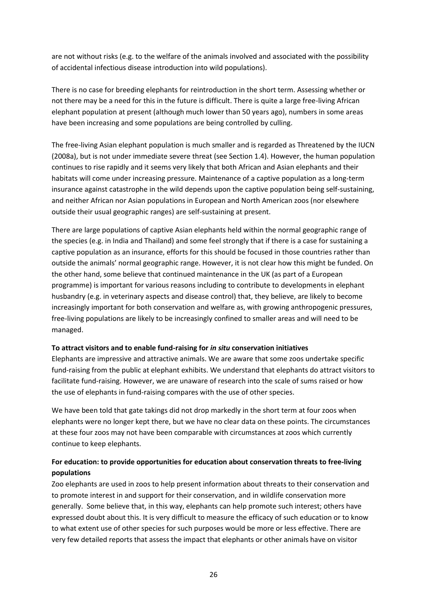are not without risks (e.g. to the welfare of the animals involved and associated with the possibility of accidental infectious disease introduction into wild populations).

There is no case for breeding elephants for reintroduction in the short term. Assessing whether or not there may be a need for this in the future is difficult. There is quite a large free-living African elephant population at present (although much lower than 50 years ago), numbers in some areas have been increasing and some populations are being controlled by culling.

The free-living Asian elephant population is much smaller and is regarded as Threatened by the IUCN (2008a), but is not under immediate severe threat (see Section 1.4). However, the human population continues to rise rapidly and it seems very likely that both African and Asian elephants and their habitats will come under increasing pressure. Maintenance of a captive population as a long-term insurance against catastrophe in the wild depends upon the captive population being self-sustaining, and neither African nor Asian populations in European and North American zoos (nor elsewhere outside their usual geographic ranges) are self-sustaining at present.

There are large populations of captive Asian elephants held within the normal geographic range of the species (e.g. in India and Thailand) and some feel strongly that if there is a case for sustaining a captive population as an insurance, efforts for this should be focused in those countries rather than outside the animals' normal geographic range. However, it is not clear how this might be funded. On the other hand, some believe that continued maintenance in the UK (as part of a European programme) is important for various reasons including to contribute to developments in elephant husbandry (e.g. in veterinary aspects and disease control) that, they believe, are likely to become increasingly important for both conservation and welfare as, with growing anthropogenic pressures, free-living populations are likely to be increasingly confined to smaller areas and will need to be managed.

#### **To attract visitors and to enable fund-raising for** *in situ* **conservation initiatives**

Elephants are impressive and attractive animals. We are aware that some zoos undertake specific fund-raising from the public at elephant exhibits. We understand that elephants do attract visitors to facilitate fund-raising. However, we are unaware of research into the scale of sums raised or how the use of elephants in fund-raising compares with the use of other species.

We have been told that gate takings did not drop markedly in the short term at four zoos when elephants were no longer kept there, but we have no clear data on these points. The circumstances at these four zoos may not have been comparable with circumstances at zoos which currently continue to keep elephants.

### **For education: to provide opportunities for education about conservation threats to free-living populations**

Zoo elephants are used in zoos to help present information about threats to their conservation and to promote interest in and support for their conservation, and in wildlife conservation more generally. Some believe that, in this way, elephants can help promote such interest; others have expressed doubt about this. It is very difficult to measure the efficacy of such education or to know to what extent use of other species for such purposes would be more or less effective. There are very few detailed reports that assess the impact that elephants or other animals have on visitor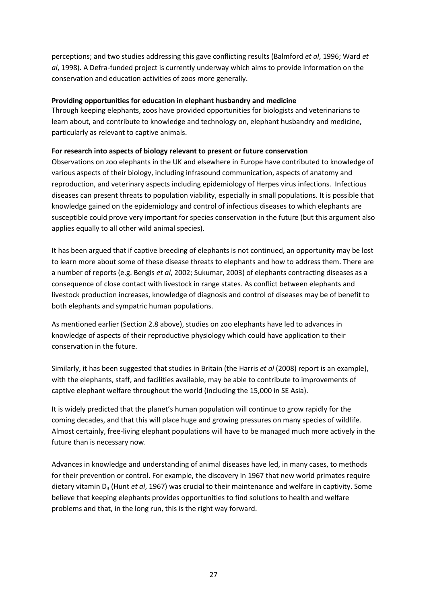perceptions; and two studies addressing this gave conflicting results (Balmford *et al*, 1996; Ward *et al*, 1998). A Defra-funded project is currently underway which aims to provide information on the conservation and education activities of zoos more generally.

#### **Providing opportunities for education in elephant husbandry and medicine**

Through keeping elephants, zoos have provided opportunities for biologists and veterinarians to learn about, and contribute to knowledge and technology on, elephant husbandry and medicine, particularly as relevant to captive animals.

#### **For research into aspects of biology relevant to present or future conservation**

Observations on zoo elephants in the UK and elsewhere in Europe have contributed to knowledge of various aspects of their biology, including infrasound communication, aspects of anatomy and reproduction, and veterinary aspects including epidemiology of Herpes virus infections. Infectious diseases can present threats to population viability, especially in small populations. It is possible that knowledge gained on the epidemiology and control of infectious diseases to which elephants are susceptible could prove very important for species conservation in the future (but this argument also applies equally to all other wild animal species).

It has been argued that if captive breeding of elephants is not continued, an opportunity may be lost to learn more about some of these disease threats to elephants and how to address them. There are a number of reports (e.g. Bengis *et al*, 2002; Sukumar, 2003) of elephants contracting diseases as a consequence of close contact with livestock in range states. As conflict between elephants and livestock production increases, knowledge of diagnosis and control of diseases may be of benefit to both elephants and sympatric human populations.

As mentioned earlier (Section 2.8 above), studies on zoo elephants have led to advances in knowledge of aspects of their reproductive physiology which could have application to their conservation in the future.

Similarly, it has been suggested that studies in Britain (the Harris *et al* (2008) report is an example), with the elephants, staff, and facilities available, may be able to contribute to improvements of captive elephant welfare throughout the world (including the 15,000 in SE Asia).

It is widely predicted that the planet's human population will continue to grow rapidly for the coming decades, and that this will place huge and growing pressures on many species of wildlife. Almost certainly, free-living elephant populations will have to be managed much more actively in the future than is necessary now.

Advances in knowledge and understanding of animal diseases have led, in many cases, to methods for their prevention or control. For example, the discovery in 1967 that new world primates require dietary vitamin D<sub>3</sub> (Hunt *et al*, 1967) was crucial to their maintenance and welfare in captivity. Some believe that keeping elephants provides opportunities to find solutions to health and welfare problems and that, in the long run, this is the right way forward.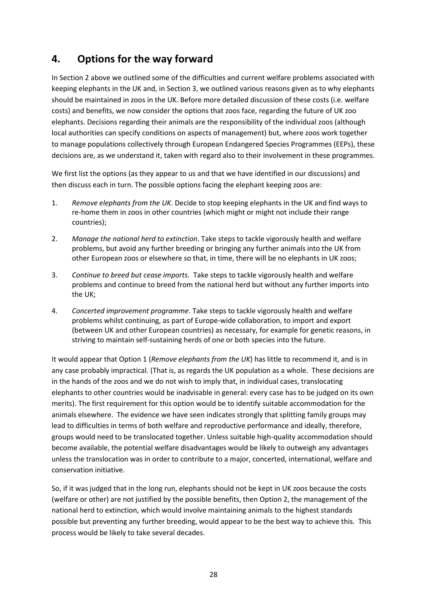## **4. Options for the way forward**

In Section 2 above we outlined some of the difficulties and current welfare problems associated with keeping elephants in the UK and, in Section 3, we outlined various reasons given as to why elephants should be maintained in zoos in the UK. Before more detailed discussion of these costs (i.e. welfare costs) and benefits, we now consider the options that zoos face, regarding the future of UK zoo elephants. Decisions regarding their animals are the responsibility of the individual zoos (although local authorities can specify conditions on aspects of management) but, where zoos work together to manage populations collectively through European Endangered Species Programmes (EEPs), these decisions are, as we understand it, taken with regard also to their involvement in these programmes.

We first list the options (as they appear to us and that we have identified in our discussions) and then discuss each in turn. The possible options facing the elephant keeping zoos are:

- 1. *Remove elephants from the UK*. Decide to stop keeping elephants in the UK and find ways to re-home them in zoos in other countries (which might or might not include their range countries);
- 2. *Manage the national herd to extinction*. Take steps to tackle vigorously health and welfare problems, but avoid any further breeding or bringing any further animals into the UK from other European zoos or elsewhere so that, in time, there will be no elephants in UK zoos;
- 3. *Continue to breed but cease imports*. Take steps to tackle vigorously health and welfare problems and continue to breed from the national herd but without any further imports into the UK;
- 4. *Concerted improvement programme*. Take steps to tackle vigorously health and welfare problems whilst continuing, as part of Europe-wide collaboration, to import and export (between UK and other European countries) as necessary, for example for genetic reasons, in striving to maintain self-sustaining herds of one or both species into the future.

It would appear that Option 1 (*Remove elephants from the UK*) has little to recommend it, and is in any case probably impractical. (That is, as regards the UK population as a whole. These decisions are in the hands of the zoos and we do not wish to imply that, in individual cases, translocating elephants to other countries would be inadvisable in general: every case has to be judged on its own merits). The first requirement for this option would be to identify suitable accommodation for the animals elsewhere. The evidence we have seen indicates strongly that splitting family groups may lead to difficulties in terms of both welfare and reproductive performance and ideally, therefore, groups would need to be translocated together. Unless suitable high-quality accommodation should become available, the potential welfare disadvantages would be likely to outweigh any advantages unless the translocation was in order to contribute to a major, concerted, international, welfare and conservation initiative.

So, if it was judged that in the long run, elephants should not be kept in UK zoos because the costs (welfare or other) are not justified by the possible benefits, then Option 2, the management of the national herd to extinction, which would involve maintaining animals to the highest standards possible but preventing any further breeding, would appear to be the best way to achieve this. This process would be likely to take several decades.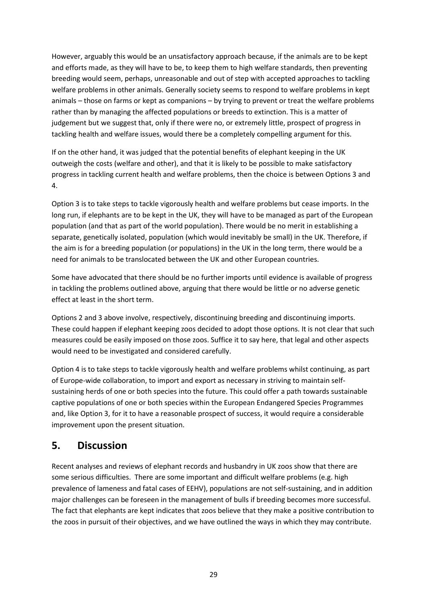However, arguably this would be an unsatisfactory approach because, if the animals are to be kept and efforts made, as they will have to be, to keep them to high welfare standards, then preventing breeding would seem, perhaps, unreasonable and out of step with accepted approaches to tackling welfare problems in other animals. Generally society seems to respond to welfare problems in kept animals – those on farms or kept as companions – by trying to prevent or treat the welfare problems rather than by managing the affected populations or breeds to extinction. This is a matter of judgement but we suggest that, only if there were no, or extremely little, prospect of progress in tackling health and welfare issues, would there be a completely compelling argument for this.

If on the other hand, it was judged that the potential benefits of elephant keeping in the UK outweigh the costs (welfare and other), and that it is likely to be possible to make satisfactory progress in tackling current health and welfare problems, then the choice is between Options 3 and 4.

Option 3 is to take steps to tackle vigorously health and welfare problems but cease imports. In the long run, if elephants are to be kept in the UK, they will have to be managed as part of the European population (and that as part of the world population). There would be no merit in establishing a separate, genetically isolated, population (which would inevitably be small) in the UK. Therefore, if the aim is for a breeding population (or populations) in the UK in the long term, there would be a need for animals to be translocated between the UK and other European countries.

Some have advocated that there should be no further imports until evidence is available of progress in tackling the problems outlined above, arguing that there would be little or no adverse genetic effect at least in the short term.

Options 2 and 3 above involve, respectively, discontinuing breeding and discontinuing imports. These could happen if elephant keeping zoos decided to adopt those options. It is not clear that such measures could be easily imposed on those zoos. Suffice it to say here, that legal and other aspects would need to be investigated and considered carefully.

Option 4 is to take steps to tackle vigorously health and welfare problems whilst continuing, as part of Europe-wide collaboration, to import and export as necessary in striving to maintain selfsustaining herds of one or both species into the future. This could offer a path towards sustainable captive populations of one or both species within the European Endangered Species Programmes and, like Option 3, for it to have a reasonable prospect of success, it would require a considerable improvement upon the present situation.

## **5. Discussion**

Recent analyses and reviews of elephant records and husbandry in UK zoos show that there are some serious difficulties. There are some important and difficult welfare problems (e.g. high prevalence of lameness and fatal cases of EEHV), populations are not self-sustaining, and in addition major challenges can be foreseen in the management of bulls if breeding becomes more successful. The fact that elephants are kept indicates that zoos believe that they make a positive contribution to the zoos in pursuit of their objectives, and we have outlined the ways in which they may contribute.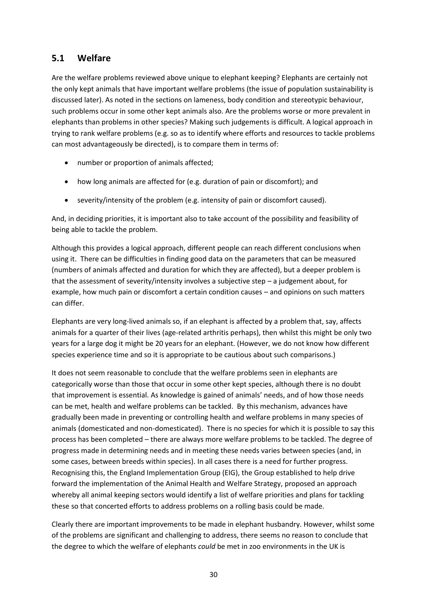### **5.1 Welfare**

Are the welfare problems reviewed above unique to elephant keeping? Elephants are certainly not the only kept animals that have important welfare problems (the issue of population sustainability is discussed later). As noted in the sections on lameness, body condition and stereotypic behaviour, such problems occur in some other kept animals also. Are the problems worse or more prevalent in elephants than problems in other species? Making such judgements is difficult. A logical approach in trying to rank welfare problems (e.g. so as to identify where efforts and resources to tackle problems can most advantageously be directed), is to compare them in terms of:

- number or proportion of animals affected;
- how long animals are affected for (e.g. duration of pain or discomfort); and
- severity/intensity of the problem (e.g. intensity of pain or discomfort caused).

And, in deciding priorities, it is important also to take account of the possibility and feasibility of being able to tackle the problem.

Although this provides a logical approach, different people can reach different conclusions when using it. There can be difficulties in finding good data on the parameters that can be measured (numbers of animals affected and duration for which they are affected), but a deeper problem is that the assessment of severity/intensity involves a subjective step  $-$  a judgement about, for example, how much pain or discomfort a certain condition causes – and opinions on such matters can differ.

Elephants are very long-lived animals so, if an elephant is affected by a problem that, say, affects animals for a quarter of their lives (age-related arthritis perhaps), then whilst this might be only two years for a large dog it might be 20 years for an elephant. (However, we do not know how different species experience time and so it is appropriate to be cautious about such comparisons.)

It does not seem reasonable to conclude that the welfare problems seen in elephants are categorically worse than those that occur in some other kept species, although there is no doubt that improvement is essential. As knowledge is gained of animals' needs, and of how those needs can be met, health and welfare problems can be tackled. By this mechanism, advances have gradually been made in preventing or controlling health and welfare problems in many species of animals (domesticated and non-domesticated). There is no species for which it is possible to say this process has been completed – there are always more welfare problems to be tackled. The degree of progress made in determining needs and in meeting these needs varies between species (and, in some cases, between breeds within species). In all cases there is a need for further progress. Recognising this, the England Implementation Group (EIG), the Group established to help drive forward the implementation of the Animal Health and Welfare Strategy, proposed an approach whereby all animal keeping sectors would identify a list of welfare priorities and plans for tackling these so that concerted efforts to address problems on a rolling basis could be made.

Clearly there are important improvements to be made in elephant husbandry. However, whilst some of the problems are significant and challenging to address, there seems no reason to conclude that the degree to which the welfare of elephants *could* be met in zoo environments in the UK is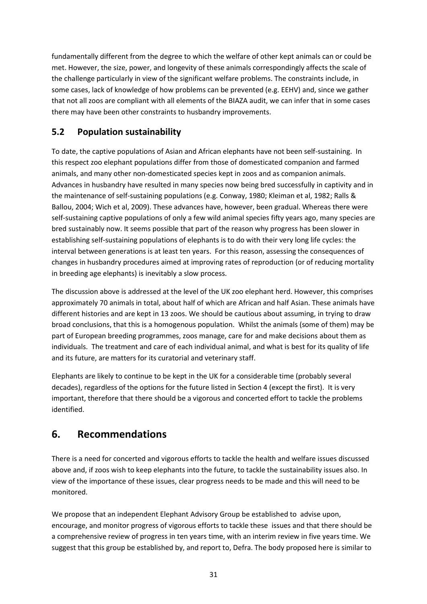fundamentally different from the degree to which the welfare of other kept animals can or could be met. However, the size, power, and longevity of these animals correspondingly affects the scale of the challenge particularly in view of the significant welfare problems. The constraints include, in some cases, lack of knowledge of how problems can be prevented (e.g. EEHV) and, since we gather that not all zoos are compliant with all elements of the BIAZA audit, we can infer that in some cases there may have been other constraints to husbandry improvements.

## **5.2 Population sustainability**

To date, the captive populations of Asian and African elephants have not been self-sustaining. In this respect zoo elephant populations differ from those of domesticated companion and farmed animals, and many other non-domesticated species kept in zoos and as companion animals. Advances in husbandry have resulted in many species now being bred successfully in captivity and in the maintenance of self-sustaining populations (e.g. Conway, 1980; Kleiman et al, 1982; Ralls & Ballou, 2004; Wich et al, 2009). These advances have, however, been gradual. Whereas there were self-sustaining captive populations of only a few wild animal species fifty years ago, many species are bred sustainably now. It seems possible that part of the reason why progress has been slower in establishing self-sustaining populations of elephants is to do with their very long life cycles: the interval between generations is at least ten years. For this reason, assessing the consequences of changes in husbandry procedures aimed at improving rates of reproduction (or of reducing mortality in breeding age elephants) is inevitably a slow process.

The discussion above is addressed at the level of the UK zoo elephant herd. However, this comprises approximately 70 animals in total, about half of which are African and half Asian. These animals have different histories and are kept in 13 zoos. We should be cautious about assuming, in trying to draw broad conclusions, that this is a homogenous population. Whilst the animals (some of them) may be part of European breeding programmes, zoos manage, care for and make decisions about them as individuals. The treatment and care of each individual animal, and what is best for its quality of life and its future, are matters for its curatorial and veterinary staff.

Elephants are likely to continue to be kept in the UK for a considerable time (probably several decades), regardless of the options for the future listed in Section 4 (except the first). It is very important, therefore that there should be a vigorous and concerted effort to tackle the problems identified.

## **6. Recommendations**

There is a need for concerted and vigorous efforts to tackle the health and welfare issues discussed above and, if zoos wish to keep elephants into the future, to tackle the sustainability issues also. In view of the importance of these issues, clear progress needs to be made and this will need to be monitored.

We propose that an independent Elephant Advisory Group be established to advise upon, encourage, and monitor progress of vigorous efforts to tackle these issues and that there should be a comprehensive review of progress in ten years time, with an interim review in five years time. We suggest that this group be established by, and report to, Defra. The body proposed here is similar to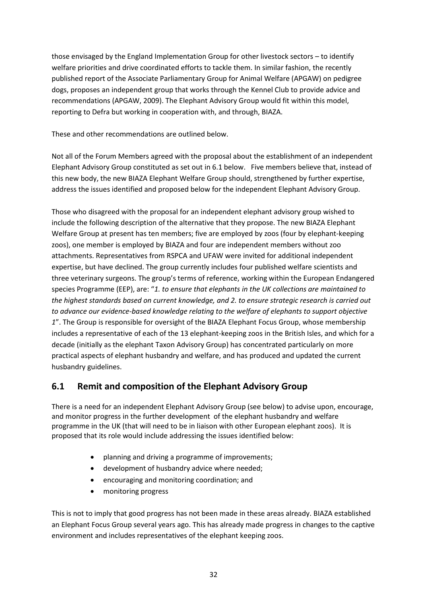those envisaged by the England Implementation Group for other livestock sectors – to identify welfare priorities and drive coordinated efforts to tackle them. In similar fashion, the recently published report of the Associate Parliamentary Group for Animal Welfare (APGAW) on pedigree dogs, proposes an independent group that works through the Kennel Club to provide advice and recommendations (APGAW, 2009). The Elephant Advisory Group would fit within this model, reporting to Defra but working in cooperation with, and through, BIAZA.

These and other recommendations are outlined below.

Not all of the Forum Members agreed with the proposal about the establishment of an independent Elephant Advisory Group constituted as set out in 6.1 below. Five members believe that, instead of this new body, the new BIAZA Elephant Welfare Group should, strengthened by further expertise, address the issues identified and proposed below for the independent Elephant Advisory Group.

Those who disagreed with the proposal for an independent elephant advisory group wished to include the following description of the alternative that they propose. The new BIAZA Elephant Welfare Group at present has ten members; five are employed by zoos (four by elephant-keeping zoos), one member is employed by BIAZA and four are independent members without zoo attachments. Representatives from RSPCA and UFAW were invited for additional independent expertise, but have declined. The group currently includes four published welfare scientists and three veterinary surgeons. The group's terms of reference, working within the European Endangered species Programme (EEP), are: "*1. to ensure that elephants in the UK collections are maintained to the highest standards based on current knowledge, and 2. to ensure strategic research is carried out to advance our evidence-based knowledge relating to the welfare of elephants to support objective 1*". The Group is responsible for oversight of the BIAZA Elephant Focus Group, whose membership includes a representative of each of the 13 elephant-keeping zoos in the British Isles, and which for a decade (initially as the elephant Taxon Advisory Group) has concentrated particularly on more practical aspects of elephant husbandry and welfare, and has produced and updated the current husbandry guidelines.

### **6.1 Remit and composition of the Elephant Advisory Group**

There is a need for an independent Elephant Advisory Group (see below) to advise upon, encourage, and monitor progress in the further development of the elephant husbandry and welfare programme in the UK (that will need to be in liaison with other European elephant zoos). It is proposed that its role would include addressing the issues identified below:

- planning and driving a programme of improvements;
- development of husbandry advice where needed;
- encouraging and monitoring coordination; and
- monitoring progress

This is not to imply that good progress has not been made in these areas already. BIAZA established an Elephant Focus Group several years ago. This has already made progress in changes to the captive environment and includes representatives of the elephant keeping zoos.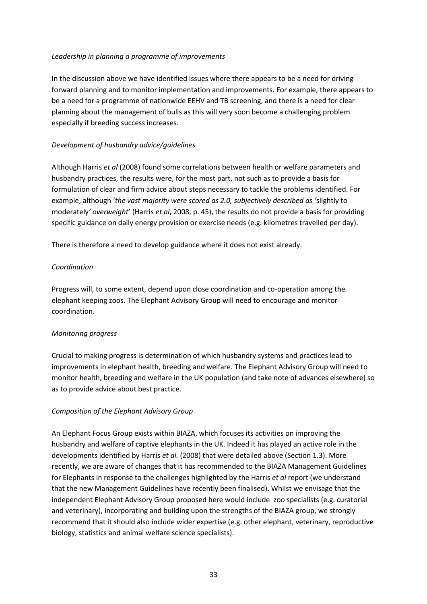#### *Leadership in planning a programme of improvements*

In the discussion above we have identified issues where there appears to be a need for driving forward planning and to monitor implementation and improvements. For example, there appears to be a need for a programme of nationwide EEHV and TB screening, and there is a need for clear planning about the management of bulls as this will very soon become a challenging problem especially if breeding success increases.

#### *Development of husbandry advice/guidelines*

Although Harris *et al* (2008) found some correlations between health or welfare parameters and husbandry practices, the results were, for the most part, not such as to provide a basis for formulation of clear and firm advice about steps necessary to tackle the problems identified. For example, although '*the vast majority were scored as 2.0, subjectively described as '*slightly to moderately*' overweight*' (Harris *et al*, 2008, p. 45), the results do not provide a basis for providing specific guidance on daily energy provision or exercise needs (e.g. kilometres travelled per day).

There is therefore a need to develop guidance where it does not exist already.

#### *Coordination*

Progress will, to some extent, depend upon close coordination and co-operation among the elephant keeping zoos. The Elephant Advisory Group will need to encourage and monitor coordination.

### *Monitoring progress*

Crucial to making progress is determination of which husbandry systems and practices lead to improvements in elephant health, breeding and welfare. The Elephant Advisory Group will need to monitor health, breeding and welfare in the UK population (and take note of advances elsewhere) so as to provide advice about best practice.

### *Composition of the Elephant Advisory Group*

An Elephant Focus Group exists within BIAZA, which focuses its activities on improving the husbandry and welfare of captive elephants in the UK. Indeed it has played an active role in the developments identified by Harris *et al.* (2008) that were detailed above (Section 1.3). More recently, we are aware of changes that it has recommended to the BIAZA Management Guidelines for Elephants in response to the challenges highlighted by the Harris *et al* report (we understand that the new Management Guidelines have recently been finalised). Whilst we envisage that the independent Elephant Advisory Group proposed here would include zoo specialists (e.g. curatorial and veterinary), incorporating and building upon the strengths of the BIAZA group, we strongly recommend that it should also include wider expertise (e.g. other elephant, veterinary, reproductive biology, statistics and animal welfare science specialists).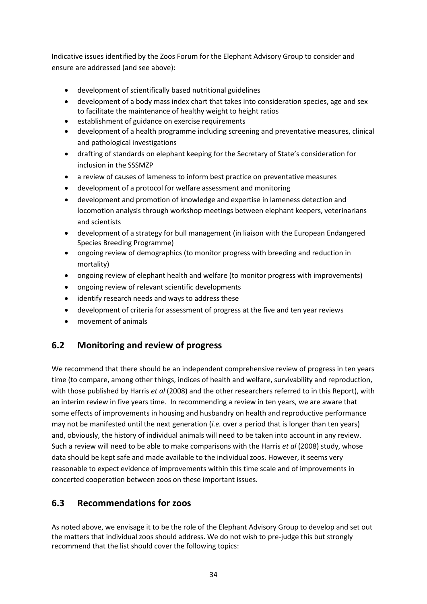Indicative issues identified by the Zoos Forum for the Elephant Advisory Group to consider and ensure are addressed (and see above):

- development of scientifically based nutritional guidelines
- development of a body mass index chart that takes into consideration species, age and sex to facilitate the maintenance of healthy weight to height ratios
- establishment of guidance on exercise requirements
- development of a health programme including screening and preventative measures, clinical and pathological investigations
- drafting of standards on elephant keeping for the Secretary of State's consideration for inclusion in the SSSMZP
- a review of causes of lameness to inform best practice on preventative measures
- development of a protocol for welfare assessment and monitoring
- development and promotion of knowledge and expertise in lameness detection and locomotion analysis through workshop meetings between elephant keepers, veterinarians and scientists
- development of a strategy for bull management (in liaison with the European Endangered Species Breeding Programme)
- ongoing review of demographics (to monitor progress with breeding and reduction in mortality)
- ongoing review of elephant health and welfare (to monitor progress with improvements)
- ongoing review of relevant scientific developments
- identify research needs and ways to address these
- development of criteria for assessment of progress at the five and ten year reviews
- movement of animals

### **6.2 Monitoring and review of progress**

We recommend that there should be an independent comprehensive review of progress in ten years time (to compare, among other things, indices of health and welfare, survivability and reproduction, with those published by Harris *et al* (2008) and the other researchers referred to in this Report), with an interim review in five years time. In recommending a review in ten years, we are aware that some effects of improvements in housing and husbandry on health and reproductive performance may not be manifested until the next generation (*i.e.* over a period that is longer than ten years) and, obviously, the history of individual animals will need to be taken into account in any review. Such a review will need to be able to make comparisons with the Harris *et al* (2008) study, whose data should be kept safe and made available to the individual zoos. However, it seems very reasonable to expect evidence of improvements within this time scale and of improvements in concerted cooperation between zoos on these important issues.

### **6.3 Recommendations for zoos**

As noted above, we envisage it to be the role of the Elephant Advisory Group to develop and set out the matters that individual zoos should address. We do not wish to pre-judge this but strongly recommend that the list should cover the following topics: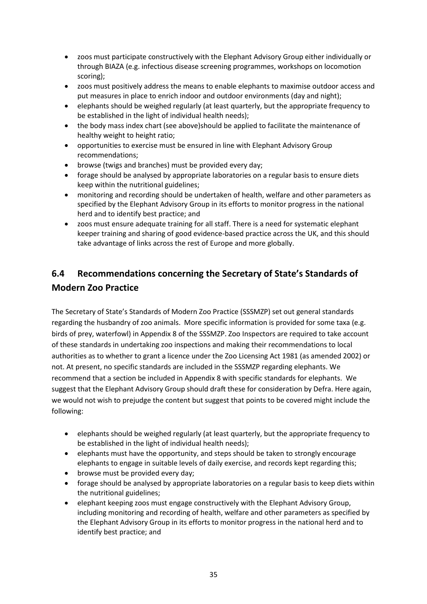- zoos must participate constructively with the Elephant Advisory Group either individually or through BIAZA (e.g. infectious disease screening programmes, workshops on locomotion scoring);
- zoos must positively address the means to enable elephants to maximise outdoor access and put measures in place to enrich indoor and outdoor environments (day and night);
- elephants should be weighed regularly (at least quarterly, but the appropriate frequency to be established in the light of individual health needs);
- the body mass index chart (see above)should be applied to facilitate the maintenance of healthy weight to height ratio;
- opportunities to exercise must be ensured in line with Elephant Advisory Group recommendations;
- browse (twigs and branches) must be provided every day;
- forage should be analysed by appropriate laboratories on a regular basis to ensure diets keep within the nutritional guidelines;
- monitoring and recording should be undertaken of health, welfare and other parameters as specified by the Elephant Advisory Group in its efforts to monitor progress in the national herd and to identify best practice; and
- zoos must ensure adequate training for all staff. There is a need for systematic elephant keeper training and sharing of good evidence-based practice across the UK, and this should take advantage of links across the rest of Europe and more globally.

## **6.4 Recommendations concerning the Secretary of State's Standards of Modern Zoo Practice**

The Secretary of State's Standards of Modern Zoo Practice (SSSMZP) set out general standards regarding the husbandry of zoo animals. More specific information is provided for some taxa (e.g. birds of prey, waterfowl) in Appendix 8 of the SSSMZP. Zoo Inspectors are required to take account of these standards in undertaking zoo inspections and making their recommendations to local authorities as to whether to grant a licence under the Zoo Licensing Act 1981 (as amended 2002) or not. At present, no specific standards are included in the SSSMZP regarding elephants. We recommend that a section be included in Appendix 8 with specific standards for elephants. We suggest that the Elephant Advisory Group should draft these for consideration by Defra. Here again, we would not wish to prejudge the content but suggest that points to be covered might include the following:

- elephants should be weighed regularly (at least quarterly, but the appropriate frequency to be established in the light of individual health needs);
- elephants must have the opportunity, and steps should be taken to strongly encourage elephants to engage in suitable levels of daily exercise, and records kept regarding this;
- browse must be provided every day;
- forage should be analysed by appropriate laboratories on a regular basis to keep diets within the nutritional guidelines;
- elephant keeping zoos must engage constructively with the Elephant Advisory Group, including monitoring and recording of health, welfare and other parameters as specified by the Elephant Advisory Group in its efforts to monitor progress in the national herd and to identify best practice; and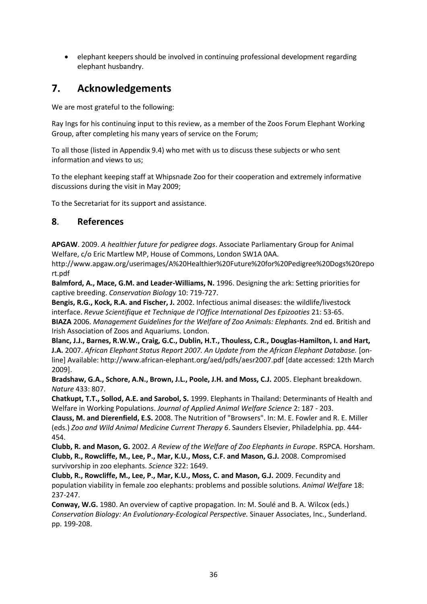elephant keepers should be involved in continuing professional development regarding elephant husbandry.

## **7. Acknowledgements**

We are most grateful to the following:

Ray Ings for his continuing input to this review, as a member of the Zoos Forum Elephant Working Group, after completing his many years of service on the Forum;

To all those (listed in Appendix 9.4) who met with us to discuss these subjects or who sent information and views to us;

To the elephant keeping staff at Whipsnade Zoo for their cooperation and extremely informative discussions during the visit in May 2009;

To the Secretariat for its support and assistance.

### **8**. **References**

**APGAW**. 2009. *A healthier future for pedigree dogs*. Associate Parliamentary Group for Animal Welfare, c/o Eric Martlew MP, House of Commons, London SW1A 0AA.

http://www.apgaw.org/userimages/A%20Healthier%20Future%20for%20Pedigree%20Dogs%20repo rt.pdf

**Balmford, A., Mace, G.M. and Leader-Williams, N.** 1996. Designing the ark: Setting priorities for captive breeding. *Conservation Biology* 10: 719-727.

**Bengis, R.G., Kock, R.A. and Fischer, J.** 2002. Infectious animal diseases: the wildlife/livestock interface. *Revue Scientifique et Technique de l'Office International Des Epizooties* 21: 53-65. **BIAZA** 2006. *Management Guidelines for the Welfare of Zoo Animals: Elephants.* 2nd ed. British and Irish Association of Zoos and Aquariums. London.

**Blanc, J.J., Barnes, R.W.W., Craig, G.C., Dublin, H.T., Thouless, C.R., Douglas-Hamilton, I. and Hart, J.A.** 2007. *African Elephant Status Report 2007. An Update from the African Elephant Database.* [online] Available: http://www.african-elephant.org/aed/pdfs/aesr2007.pdf [date accessed: 12th March 2009].

**Bradshaw, G.A., Schore, A.N., Brown, J.L., Poole, J.H. and Moss, C.J.** 2005. Elephant breakdown. *Nature* 433: 807.

**Chatkupt, T.T., Sollod, A.E. and Sarobol, S.** 1999. Elephants in Thailand: Determinants of Health and Welfare in Working Populations. *Journal of Applied Animal Welfare Science* 2: 187 - 203.

**Clauss, M. and Dierenfield, E.S.** 2008. The Nutrition of "Browsers". In: M. E. Fowler and R. E. Miller (eds.) *Zoo and Wild Animal Medicine Current Therapy 6*. Saunders Elsevier, Philadelphia. pp. 444- 454.

**Clubb, R. and Mason, G.** 2002. *A Review of the Welfare of Zoo Elephants in Europe*. RSPCA. Horsham. **Clubb, R., Rowcliffe, M., Lee, P., Mar, K.U., Moss, C.F. and Mason, G.J.** 2008. Compromised survivorship in zoo elephants. *Science* 322: 1649.

**Clubb, R., Rowcliffe, M., Lee, P., Mar, K.U., Moss, C. and Mason, G.J.** 2009. Fecundity and population viability in female zoo elephants: problems and possible solutions. *Animal Welfare* 18: 237-247.

**Conway, W.G.** 1980. An overview of captive propagation. In: M. Soulé and B. A. Wilcox (eds.) *Conservation Biology: An Evolutionary-Ecological Perspective.* Sinauer Associates, Inc., Sunderland. pp. 199-208.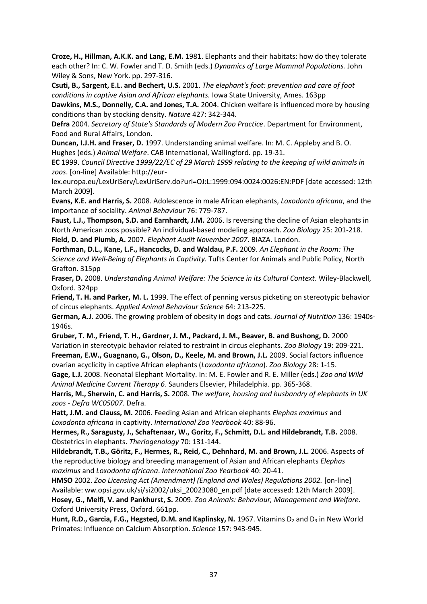**Croze, H., Hillman, A.K.K. and Lang, E.M.** 1981. Elephants and their habitats: how do they tolerate each other? In: C. W. Fowler and T. D. Smith (eds.) *Dynamics of Large Mammal Populations.* John Wiley & Sons, New York. pp. 297-316.

**Csuti, B., Sargent, E.L. and Bechert, U.S.** 2001. *The elephant's foot: prevention and care of foot conditions in captive Asian and African elephants.* Iowa State University, Ames. 163pp

**Dawkins, M.S., Donnelly, C.A. and Jones, T.A.** 2004. Chicken welfare is influenced more by housing conditions than by stocking density. *Nature* 427: 342-344.

**Defra** 2004. *Secretary of State's Standards of Modern Zoo Practice*. Department for Environment, Food and Rural Affairs, London.

**Duncan, I.J.H. and Fraser, D.** 1997. Understanding animal welfare. In: M. C. Appleby and B. O. Hughes (eds.) *Animal Welfare*. CAB International, Wallingford. pp. 19-31.

**EC** 1999. *Council Directive 1999/22/EC of 29 March 1999 relating to the keeping of wild animals in zoos*. [on-line] Available: http://eur-

lex.europa.eu/LexUriServ/LexUriServ.do?uri=OJ:L:1999:094:0024:0026:EN:PDF [date accessed: 12th March 2009].

**Evans, K.E. and Harris, S.** 2008. Adolescence in male African elephants, *Loxodonta africana*, and the importance of sociality. *Animal Behaviour* 76: 779-787.

**Faust, L.J., Thompson, S.D. and Earnhardt, J.M.** 2006. Is reversing the decline of Asian elephants in North American zoos possible? An individual-based modeling approach. *Zoo Biology* 25: 201-218. **Field, D. and Plumb, A.** 2007. *Elephant Audit November 2007*. BIAZA. London.

**Forthman, D.L., Kane, L.F., Hancocks, D. and Waldau, P.F.** 2009. *An Elephant in the Room: The Science and Well-Being of Elephants in Captivity.* Tufts Center for Animals and Public Policy, North Grafton. 315pp

**Fraser, D.** 2008. *Understanding Animal Welfare: The Science in its Cultural Context.* Wiley-Blackwell, Oxford. 324pp

**Friend, T. H. and Parker, M. L.** 1999. The effect of penning versus picketing on stereotypic behavior of circus elephants. *Applied Animal Behaviour Science* 64: 213-225.

**German, A.J.** 2006. The growing problem of obesity in dogs and cats. *Journal of Nutrition* 136: 1940s-1946s.

**Gruber, T. M., Friend, T. H., Gardner, J. M., Packard, J. M., Beaver, B. and Bushong, D.** 2000 Variation in stereotypic behavior related to restraint in circus elephants. *Zoo Biology* 19: 209-221.

**Freeman, E.W., Guagnano, G., Olson, D., Keele, M. and Brown, J.L.** 2009. Social factors influence ovarian acyclicity in captive African elephants (*Loxodonta africana*). *Zoo Biology* 28: 1-15.

**Gage, L.J.** 2008. Neonatal Elephant Mortality. In: M. E. Fowler and R. E. Miller (eds.) *Zoo and Wild Animal Medicine Current Therapy 6*. Saunders Elsevier, Philadelphia. pp. 365-368.

**Harris, M., Sherwin, C. and Harris, S.** 2008. *The welfare, housing and husbandry of elephants in UK zoos - Defra WC05007*. Defra.

**Hatt, J.M. and Clauss, M.** 2006. Feeding Asian and African elephants *Elephas maximus* and *Loxodonta africana* in captivity. *International Zoo Yearbook* 40: 88-96.

**Hermes, R., Saragusty, J., Schaftenaar, W., Goritz, F., Schmitt, D.L. and Hildebrandt, T.B.** 2008. Obstetrics in elephants. *Theriogenology* 70: 131-144.

**Hildebrandt, T.B., Göritz, F., Hermes, R., Reid, C., Dehnhard, M. and Brown, J.L.** 2006. Aspects of the reproductive biology and breeding management of Asian and African elephants *Elephas maximus* and *Loxodonta africana*. *International Zoo Yearbook* 40: 20-41.

**HMSO** 2002. *Zoo Licensing Act (Amendment) (England and Wales) Regulations 2002.* [on-line] Available: ww.opsi.gov.uk/si/si2002/uksi\_20023080\_en.pdf [date accessed: 12th March 2009]. **Hosey, G., Melfi, V. and Pankhurst, S.** 2009. *Zoo Animals: Behaviour, Management and Welfare.* Oxford University Press, Oxford. 661pp.

**Hunt, R.D., Garcia, F.G., Hegsted, D.M. and Kaplinsky, N.** 1967. Vitamins D<sub>2</sub> and D<sub>3</sub> in New World Primates: Influence on Calcium Absorption. *Science* 157: 943-945.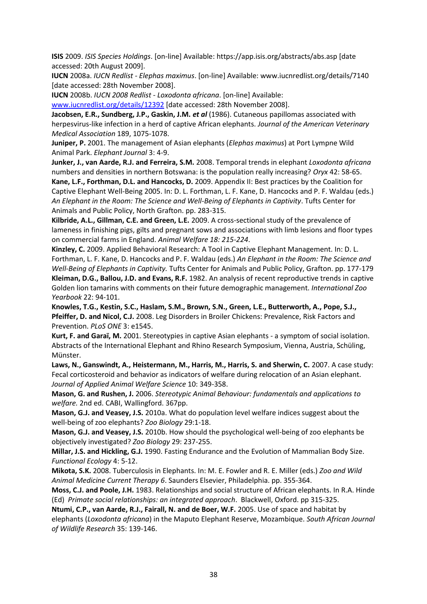**ISIS** 2009. *ISIS Species Holdings*. [on-line] Available: https://app.isis.org/abstracts/abs.asp [date accessed: 20th August 2009].

**IUCN** 2008a. *IUCN Redlist - Elephas maximus*. [on-line] Available: www.iucnredlist.org/details/7140 [date accessed: 28th November 2008].

**IUCN** 2008b. *IUCN 2008 Redlist - Loxodonta africana*. [on-line] Available:

[www.iucnredlist.org/details/12392](http://www.iucnredlist.org/details/12392) [date accessed: 28th November 2008].

**Jacobsen, E.R., Sundberg, J.P., Gaskin, J.M.** *et al* (1986). Cutaneous papillomas associated with herpesvirus-like infection in a herd of captive African elephants. *Journal of the American Veterinary Medical Association* 189, 1075-1078.

**Juniper, P.** 2001. The management of Asian elephants (*Elephas maximus*) at Port Lympne Wild Animal Park. *Elephant Journal* 3: 4-9.

**Junker, J., van Aarde, R.J. and Ferreira, S.M.** 2008. Temporal trends in elephant *Loxodonta africana*  numbers and densities in northern Botswana: is the population really increasing? *Oryx* 42: 58-65.

**Kane, L.F., Forthman, D.L. and Hancocks, D.** 2009. Appendix II: Best practices by the Coalition for Captive Elephant Well-Being 2005. In: D. L. Forthman, L. F. Kane, D. Hancocks and P. F. Waldau (eds.) *An Elephant in the Room: The Science and Well-Being of Elephants in Captivity*. Tufts Center for Animals and Public Policy, North Grafton. pp. 283-315.

**Kilbride, A.L., Gillman, C.E. and Green, L.E.** 2009. A cross-sectional study of the prevalence of lameness in finishing pigs, gilts and pregnant sows and associations with limb lesions and floor types on commercial farms in England. *Animal Welfare 18: 215-224*.

**Kinzley, C.** 2009. Applied Behavioral Research: A Tool in Captive Elephant Management. In: D. L. Forthman, L. F. Kane, D. Hancocks and P. F. Waldau (eds.) *An Elephant in the Room: The Science and Well-Being of Elephants in Captivity.* Tufts Center for Animals and Public Policy, Grafton. pp. 177-179 **Kleiman, D.G., Ballou, J.D. and Evans, R.F.** 1982. An analysis of recent reproductive trends in captive Golden lion tamarins with comments on their future demographic management. *International Zoo Yearbook* 22: 94-101.

**Knowles, T.G., Kestin, S.C., Haslam, S.M., Brown, S.N., Green, L.E., Butterworth, A., Pope, S.J., Pfeiffer, D. and Nicol, C.J.** 2008. Leg Disorders in Broiler Chickens: Prevalence, Risk Factors and Prevention. *PLoS ONE* 3: e1545.

**Kurt, F. and Garaï, M.** 2001. Stereotypies in captive Asian elephants - a symptom of social isolation. Abstracts of the International Elephant and Rhino Research Symposium, Vienna, Austria, Schüling, Münster.

**Laws, N., Ganswindt, A., Heistermann, M., Harris, M., Harris, S. and Sherwin, C.** 2007. A case study: Fecal corticosteroid and behavior as indicators of welfare during relocation of an Asian elephant. *Journal of Applied Animal Welfare Science* 10: 349-358.

**Mason, G. and Rushen, J.** 2006. *Stereotypic Animal Behaviour: fundamentals and applications to welfare.* 2nd ed. CABI, Wallingford. 367pp.

**Mason, G.J. and Veasey, J.S.** 2010a. What do population level welfare indices suggest about the well-being of zoo elephants? *Zoo Biology* 29:1-18.

**Mason, G.J. and Veasey, J.S.** 2010b. How should the psychological well-being of zoo elephants be objectively investigated? *Zoo Biology* 29: 237-255.

**Millar, J.S. and Hickling, G.J.** 1990. Fasting Endurance and the Evolution of Mammalian Body Size. *Functional Ecology* 4: 5-12.

**Mikota, S.K.** 2008. Tuberculosis in Elephants. In: M. E. Fowler and R. E. Miller (eds.) *Zoo and Wild Animal Medicine Current Therapy 6*. Saunders Elsevier, Philadelphia. pp. 355-364.

**Moss, C.J. and Poole, J.H.** 1983. Relationships and social structure of African elephants. In R.A. Hinde (Ed) *Primate social relationships: an integrated approach*. Blackwell, Oxford. pp 315-325.

**Ntumi, C.P., van Aarde, R.J., Fairall, N. and de Boer, W.F.** 2005. Use of space and habitat by elephants (*Loxodonta africana*) in the Maputo Elephant Reserve, Mozambique. *South African Journal of Wildlife Research* 35: 139-146.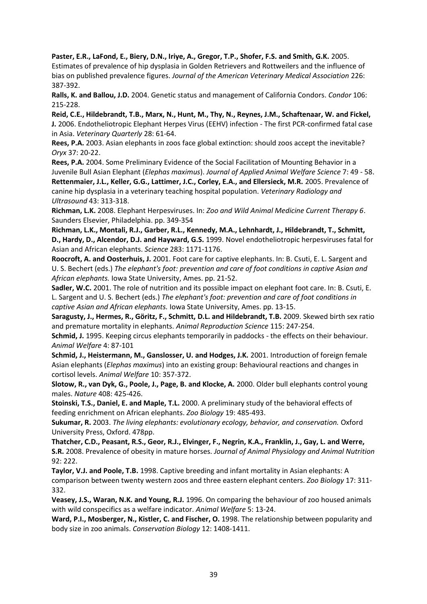**Paster, E.R., LaFond, E., Biery, D.N., Iriye, A., Gregor, T.P., Shofer, F.S. and Smith, G.K.** 2005. Estimates of prevalence of hip dysplasia in Golden Retrievers and Rottweilers and the influence of bias on published prevalence figures. *Journal of the American Veterinary Medical Association* 226: 387-392.

**Ralls, K. and Ballou, J.D.** 2004. Genetic status and management of California Condors. *Condor* 106: 215-228.

**Reid, C.E., Hildebrandt, T.B., Marx, N., Hunt, M., Thy, N., Reynes, J.M., Schaftenaar, W. and Fickel, J.** 2006. Endotheliotropic Elephant Herpes Virus (EEHV) infection - The first PCR-confirmed fatal case in Asia. *Veterinary Quarterly* 28: 61-64.

**Rees, P.A.** 2003. Asian elephants in zoos face global extinction: should zoos accept the inevitable? *Oryx* 37: 20-22.

**Rees, P.A.** 2004. Some Preliminary Evidence of the Social Facilitation of Mounting Behavior in a Juvenile Bull Asian Elephant (*Elephas maximus*). *Journal of Applied Animal Welfare Science* 7: 49 - 58. **Rettenmaier, J.L., Keller, G.G., Lattimer, J.C., Corley, E.A., and Ellersieck, M.R.** 2005. Prevalence of canine hip dysplasia in a veterinary teaching hospital population. *Veterinary Radiology and* 

**Richman, L.K.** 2008. Elephant Herpesviruses. In: *Zoo and Wild Animal Medicine Current Therapy 6*. Saunders Elsevier, Philadelphia. pp. 349-354

*Ultrasound* 43: 313-318.

**Richman, L.K., Montali, R.J., Garber, R.L., Kennedy, M.A., Lehnhardt, J., Hildebrandt, T., Schmitt, D., Hardy, D., Alcendor, D.J. and Hayward, G.S.** 1999. Novel endotheliotropic herpesviruses fatal for Asian and African elephants. *Science* 283: 1171-1176.

**Roocroft, A. and Oosterhuis, J.** 2001. Foot care for captive elephants. In: B. Csuti, E. L. Sargent and U. S. Bechert (eds.) *The elephant's foot: prevention and care of foot conditions in captive Asian and African elephants.* Iowa State University, Ames. pp. 21-52.

**Sadler, W.C.** 2001. The role of nutrition and its possible impact on elephant foot care. In: B. Csuti, E. L. Sargent and U. S. Bechert (eds.) *The elephant's foot: prevention and care of foot conditions in captive Asian and African elephants.* Iowa State University, Ames. pp. 13-15.

**Saragusty, J., Hermes, R., Göritz, F., Schmitt, D.L. and Hildebrandt, T.B.** 2009. Skewed birth sex ratio and premature mortality in elephants. *Animal Reproduction Science* 115: 247-254.

**Schmid, J.** 1995. Keeping circus elephants temporarily in paddocks - the effects on their behaviour. *Animal Welfare* 4: 87-101

**Schmid, J., Heistermann, M., Ganslosser, U. and Hodges, J.K.** 2001. Introduction of foreign female Asian elephants (*Elephas maximus*) into an existing group: Behavioural reactions and changes in cortisol levels. *Animal Welfare* 10: 357-372.

**Slotow, R., van Dyk, G., Poole, J., Page, B. and Klocke, A.** 2000. Older bull elephants control young males. *Nature* 408: 425-426.

**Stoinski, T.S., Daniel, E. and Maple, T.L.** 2000. A preliminary study of the behavioral effects of feeding enrichment on African elephants. *Zoo Biology* 19: 485-493.

**Sukumar, R.** 2003. *The living elephants: evolutionary ecology, behavior, and conservation.* Oxford University Press, Oxford. 478pp.

**Thatcher, C.D., Peasant, R.S., Geor, R.J., Elvinger, F., Negrin, K.A., Franklin, J., Gay, L. and Werre, S.R.** 2008. Prevalence of obesity in mature horses. *Journal of Animal Physiology and Animal Nutrition* 92: 222.

**Taylor, V.J. and Poole, T.B.** 1998. Captive breeding and infant mortality in Asian elephants: A comparison between twenty western zoos and three eastern elephant centers. *Zoo Biology* 17: 311- 332.

**Veasey, J.S., Waran, N.K. and Young, R.J.** 1996. On comparing the behaviour of zoo housed animals with wild conspecifics as a welfare indicator. *Animal Welfare* 5: 13-24.

**Ward, P.I., Mosberger, N., Kistler, C. and Fischer, O.** 1998. The relationship between popularity and body size in zoo animals. *Conservation Biology* 12: 1408-1411.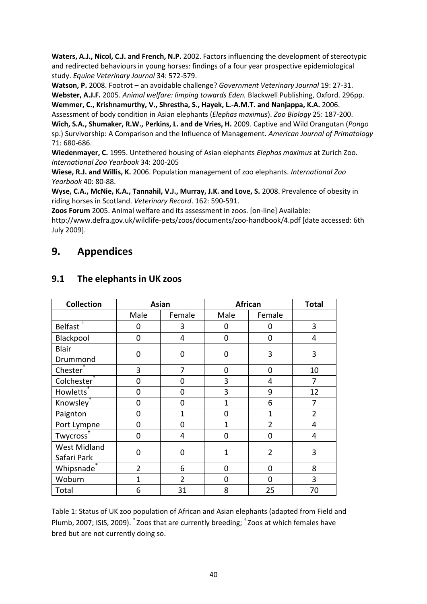**Waters, A.J., Nicol, C.J. and French, N.P.** 2002. Factors influencing the development of stereotypic and redirected behaviours in young horses: findings of a four year prospective epidemiological study. *Equine Veterinary Journal* 34: 572-579.

**Watson, P.** 2008. Footrot – an avoidable challenge? *Government Veterinary Journal* 19: 27-31. **Webster, A.J.F.** 2005. *Animal welfare: limping towards Eden.* Blackwell Publishing, Oxford. 296pp. **Wemmer, C., Krishnamurthy, V., Shrestha, S., Hayek, L.-A.M.T. and Nanjappa, K.A.** 2006.

Assessment of body condition in Asian elephants (*Elephas maximus*). *Zoo Biology* 25: 187-200. **Wich, S.A., Shumaker, R.W., Perkins, L. and de Vries, H.** 2009. Captive and Wild Orangutan (*Pongo*  sp.) Survivorship: A Comparison and the Influence of Management. *American Journal of Primatology* 71: 680-686.

**Wiedenmayer, C.** 1995. Untethered housing of Asian elephants *Elephas maximus* at Zurich Zoo. *International Zoo Yearbook* 34: 200-205

**Wiese, R.J. and Willis, K.** 2006. Population management of zoo elephants. *International Zoo Yearbook* 40: 80-88.

**Wyse, C.A., McNie, K.A., Tannahil, V.J., Murray, J.K. and Love, S.** 2008. Prevalence of obesity in riding horses in Scotland. *Veterinary Record*. 162: 590-591.

**Zoos Forum** 2005. Animal welfare and its assessment in zoos. [on-line] Available:

http://www.defra.gov.uk/wildlife-pets/zoos/documents/zoo-handbook/4.pdf [date accessed: 6th July 2009].

## **9. Appendices**

| <b>Collection</b>     | <b>Asian</b>   |                | African        |                | <b>Total</b>   |
|-----------------------|----------------|----------------|----------------|----------------|----------------|
|                       | Male           | Female         | Male           | Female         |                |
| Belfast <sup>+</sup>  | 0              | 3              | 0              | 0              | 3              |
| Blackpool             | 0              | 4              | 0              | 0              | 4              |
| <b>Blair</b>          | $\Omega$       | 0              | 0              | 3              | 3              |
| Drummond              |                |                |                |                |                |
| Chester <sup>®</sup>  | 3              | 7              | 0              | 0              | 10             |
| Colchester            | 0              | 0              | 3              | 4              | 7              |
| Howletts <sup>®</sup> | 0              | 0              | 3              | 9              | 12             |
| Knowsley <sup>*</sup> | 0              | 0              | $\mathbf{1}$   | 6              | 7              |
| Paignton              | 0              | 1              | $\overline{0}$ | $\mathbf{1}$   | $\overline{2}$ |
| Port Lympne           | 0              | 0              | 1              | $\overline{2}$ | 4              |
| Twycross <sup>+</sup> | 0              | 4              | 0              | 0              | 4              |
| <b>West Midland</b>   | $\overline{0}$ | 0              | $\mathbf{1}$   | $\overline{2}$ | 3              |
| Safari Park           |                |                |                |                |                |
| Whipsnade*            | $\overline{2}$ | 6              | 0              | 0              | 8              |
| Woburn                | 1              | $\overline{2}$ | 0              | 0              | 3              |
| Total                 | 6              | 31             | 8              | 25             | 70             |

### **9.1 The elephants in UK zoos**

Table 1: Status of UK zoo population of African and Asian elephants (adapted from Field and Plumb, 2007; ISIS, 2009). \* Zoos that are currently breeding; † Zoos at which females have bred but are not currently doing so.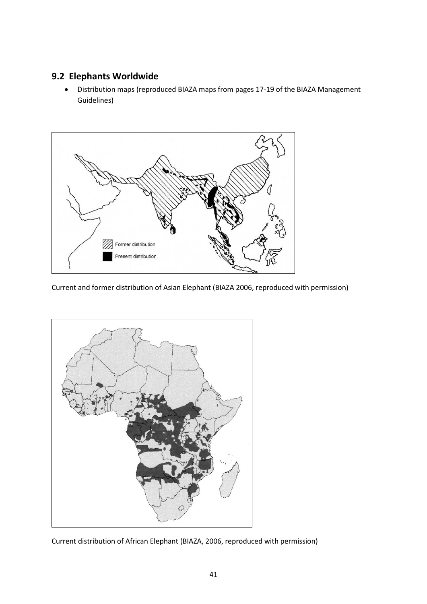### **9.2 Elephants Worldwide**

 Distribution maps (reproduced BIAZA maps from pages 17-19 of the BIAZA Management Guidelines)



Current and former distribution of Asian Elephant (BIAZA 2006, reproduced with permission)



Current distribution of African Elephant (BIAZA, 2006, reproduced with permission)